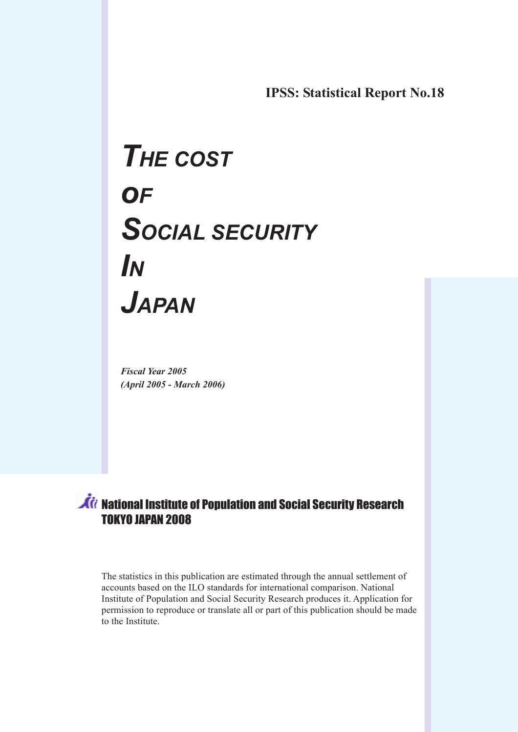IPSS: Statistical Report No.18

# THE COST **OF** SOCIAL SECURITY IN JAPAN

Fiscal Year 2005 (April 2005 - March 2006)

# *it* National Institute of Population and Social Security Research TOKYO JAPAN 2008

The statistics in this publication are estimated through the annual settlement of accounts based on the ILO standards for international comparison. National Institute of Population and Social Security Research produces it. Application for permission to reproduce or translate all or part of this publication should be made to the Institute.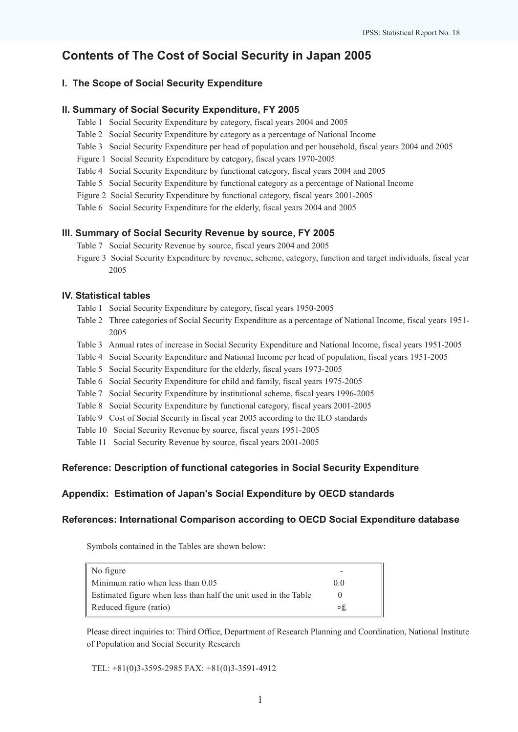## Contents of The Cost of Social Security in Japan 2005

### I. The Scope of Social Security Expenditure

#### II. Summary of Social Security Expenditure, FY 2005

- Table 1 Social Security Expenditure by category, fiscal years 2004 and 2005
- Table 2 Social Security Expenditure by category as a percentage of National Income
- Table 3 Social Security Expenditure per head of population and per household, fiscal years 2004 and 2005
- Figure 1 Social Security Expenditure by category, fiscal years 1970-2005
- Table 4 Social Security Expenditure by functional category, fiscal years 2004 and 2005
- Table 5 Social Security Expenditure by functional category as a percentage of National Income
- Figure 2 Social Security Expenditure by functional category, fiscal years 2001-2005
- Table 6 Social Security Expenditure for the elderly, fiscal years 2004 and 2005

#### III. Summary of Social Security Revenue by source, FY 2005

- Table 7 Social Security Revenue by source, fiscal years 2004 and 2005
- Figure 3 Social Security Expenditure by revenue, scheme, category, function and target individuals, fiscal year 2005

#### IV. Statistical tables

- Table 1 Social Security Expenditure by category, fiscal years 1950-2005
- Table 2 Three categories of Social Security Expenditure as a percentage of National Income, fiscal years 1951- 2005
- Table 3 Annual rates of increase in Social Security Expenditure and National Income, fiscal years 1951-2005
- Table 4 Social Security Expenditure and National Income per head of population, fiscal years 1951-2005
- Table 5 Social Security Expenditure for the elderly, fiscal years 1973-2005
- Table 6 Social Security Expenditure for child and family, fiscal years 1975-2005
- Table 7 Social Security Expenditure by institutional scheme, fiscal years 1996-2005
- Table 8 Social Security Expenditure by functional category, fiscal years 2001-2005
- Table 9 Cost of Social Security in fiscal year 2005 according to the ILO standards
- Table 10 Social Security Revenue by source, fiscal years 1951-2005
- Table 11 Social Security Revenue by source, fiscal years 2001-2005

### Reference: Description of functional categories in Social Security Expenditure

### Appendix: Estimation of Japan's Social Expenditure by OECD standards

#### References: International Comparison according to OECD Social Expenditure database

Symbols contained in the Tables are shown below:

| No figure                                                       | -              |  |
|-----------------------------------------------------------------|----------------|--|
| Minimum ratio when less than 0.05                               | 0 <sub>0</sub> |  |
| Estimated figure when less than half the unit used in the Table |                |  |
| Reduced figure (ratio)                                          | o£.            |  |

Please direct inquiries to: Third Office, Department of Research Planning and Coordination, National Institute of Population and Social Security Research

TEL: +81(0)3-3595-2985 FAX: +81(0)3-3591-4912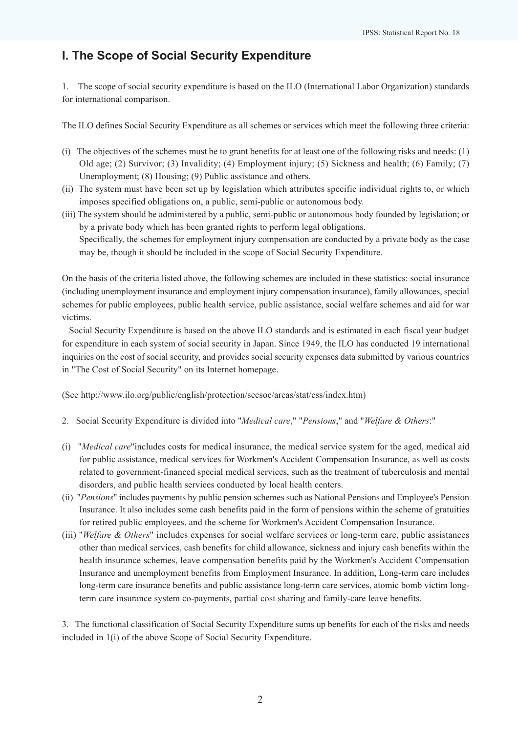# I. The Scope of Social Security Expenditure

1. The scope of social security expenditure is based on the ILO (International Labor Organization) standards for international comparison.

The ILO defines Social Security Expenditure as all schemes or services which meet the following three criteria:

- (i) The objectives of the schemes must be to grant benefits for at least one of the following risks and needs:  $(1)$ Old age; (2) Survivor; (3) Invalidity; (4) Employment injury; (5) Sickness and health; (6) Family; (7) Unemployment; (8) Housing; (9) Public assistance and others.
- (ii) The system must have been set up by legislation which attributes specific individual rights to, or which imposes specified obligations on, a public, semi-public or autonomous body.
- (iii) The system should be administered by a public, semi-public or autonomous body founded by legislation; or by a private body which has been granted rights to perform legal obligations. Specifically, the schemes for employment injury compensation are conducted by a private body as the case may be, though it should be included in the scope of Social Security Expenditure.

On the basis of the criteria listed above, the following schemes are included in these statistics: social insurance (including unemployment insurance and employment injury compensation insurance), family allowances, special schemes for public employees, public health service, public assistance, social welfare schemes and aid for war victims.

 Social Security Expenditure is based on the above ILO standards and is estimated in each fiscal year budget for expenditure in each system of social security in Japan. Since 1949, the ILO has conducted 19 international inquiries on the cost of social security, and provides social security expenses data submitted by various countries in "The Cost of Social Security" on its Internet homepage.

(See http://www.ilo.org/public/english/protection/secsoc/areas/stat/css/index.htm)

- 2. Social Security Expenditure is divided into "Medical care," "Pensions," and "Welfare & Others:"
- (i) "Medical care"includes costs for medical insurance, the medical service system for the aged, medical aid for public assistance, medical services for Workmen's Accident Compensation Insurance, as well as costs related to government-financed special medical services, such as the treatment of tuberculosis and mental disorders, and public health services conducted by local health centers.
- (ii) "Pensions" includes payments by public pension schemes such as National Pensions and Employee's Pension Insurance. It also includes some cash benefits paid in the form of pensions within the scheme of gratuities for retired public employees, and the scheme for Workmen's Accident Compensation Insurance.
- (iii) "Welfare & Others" includes expenses for social welfare services or long-term care, public assistances other than medical services, cash benefits for child allowance, sickness and injury cash benefits within the health insurance schemes, leave compensation benefits paid by the Workmen's Accident Compensation Insurance and unemployment benefits from Employment Insurance. In addition, Long-term care includes long-term care insurance benefits and public assistance long-term care services, atomic bomb victim longterm care insurance system co-payments, partial cost sharing and family-care leave benefits.

3. The functional classification of Social Security Expenditure sums up benefits for each of the risks and needs included in 1(i) of the above Scope of Social Security Expenditure.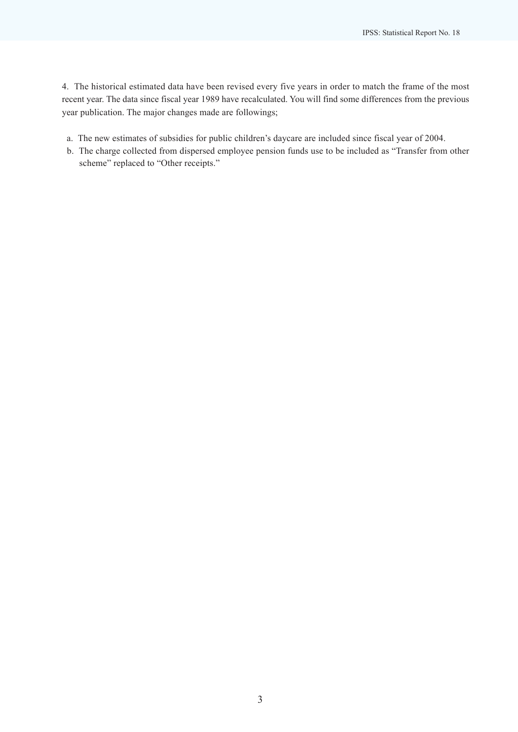4. The historical estimated data have been revised every five years in order to match the frame of the most recent year. The data since fiscal year 1989 have recalculated. You will find some differences from the previous year publication. The major changes made are followings;

- a. The new estimates of subsidies for public children's daycare are included since fiscal year of 2004.
- b. The charge collected from dispersed employee pension funds use to be included as "Transfer from other scheme" replaced to "Other receipts."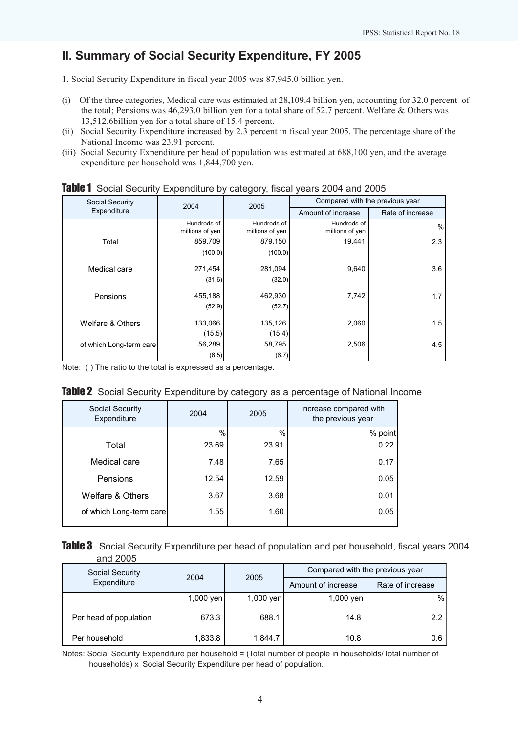# II. Summary of Social Security Expenditure, FY 2005

1. Social Security Expenditure in fiscal year 2005 was 87,945.0 billion yen.

- (i) Of the three categories, Medical care was estimated at 28,109.4 billion yen, accounting for 32.0 percent of the total; Pensions was 46,293.0 billion yen for a total share of 52.7 percent. Welfare & Others was 13,512.6billion yen for a total share of 15.4 percent.
- (ii) Social Security Expenditure increased by 2.3 percent in fiscal year 2005. The percentage share of the National Income was 23.91 percent.
- (iii) Social Security Expenditure per head of population was estimated at 688,100 yen, and the average expenditure per household was 1,844,700 yen.

| Social Security         | 2004                           | 2005                           | Compared with the previous year |                  |
|-------------------------|--------------------------------|--------------------------------|---------------------------------|------------------|
| Expenditure             |                                |                                | Amount of increase              | Rate of increase |
|                         | Hundreds of<br>millions of yen | Hundreds of<br>millions of yen | Hundreds of<br>millions of yen  | %                |
| Total                   | 859,709                        | 879,150                        | 19.441                          | 2.3              |
|                         | (100.0)                        | (100.0)                        |                                 |                  |
| Medical care            | 271,454                        | 281,094                        | 9,640                           | 3.6              |
|                         | (31.6)                         | (32.0)                         |                                 |                  |
| Pensions                | 455,188                        | 462,930                        | 7,742                           | 1.7              |
|                         | (52.9)                         | (52.7)                         |                                 |                  |
| Welfare & Others        | 133,066                        | 135,126                        | 2,060                           | 1.5              |
|                         | (15.5)                         | (15.4)                         |                                 |                  |
| of which Long-term care | 56,289                         | 58,795                         | 2,506                           | 4.5              |
|                         | (6.5)                          | (6.7)                          |                                 |                  |

|  | Table 1 Social Security Expenditure by category, fiscal years 2004 and 2005 |  |  |  |  |  |
|--|-----------------------------------------------------------------------------|--|--|--|--|--|
|--|-----------------------------------------------------------------------------|--|--|--|--|--|

Note: ( ) The ratio to the total is expressed as a percentage.

|  |  |  | Table 2 Social Security Expenditure by category as a percentage of National Income |  |  |  |  |  |  |
|--|--|--|------------------------------------------------------------------------------------|--|--|--|--|--|--|
|--|--|--|------------------------------------------------------------------------------------|--|--|--|--|--|--|

| Social Security<br>Expenditure | 2004  | 2005  | Increase compared with<br>the previous year |
|--------------------------------|-------|-------|---------------------------------------------|
|                                | $\%$  | %     | % point                                     |
| Total                          | 23.69 | 23.91 | 0.22                                        |
| Medical care                   | 7.48  | 7.65  | 0.17                                        |
| Pensions                       | 12.54 | 12.59 | 0.05                                        |
| Welfare & Others               | 3.67  | 3.68  | 0.01                                        |
| of which Long-term care        | 1.55  | 1.60  | 0.05                                        |

| Table 3 Social Security Expenditure per head of population and per household, fiscal years 2004 |  |
|-------------------------------------------------------------------------------------------------|--|
| and 2005                                                                                        |  |

| Social Security        | 2005<br>2004 |           | Compared with the previous year |                  |  |  |
|------------------------|--------------|-----------|---------------------------------|------------------|--|--|
| Expenditure            |              |           | Amount of increase              | Rate of increase |  |  |
|                        | $1,000$ yen  | 1,000 yen | 1,000 yen                       | $\%$             |  |  |
| Per head of population | 673.3        | 688.1     | 14.8                            | 2.2              |  |  |
| Per household          | 1,833.8      | 1,844.7   | 10.8                            | 0.6              |  |  |

Notes: Social Security Expenditure per household = (Total number of people in households/Total number of households) x Social Security Expenditure per head of population.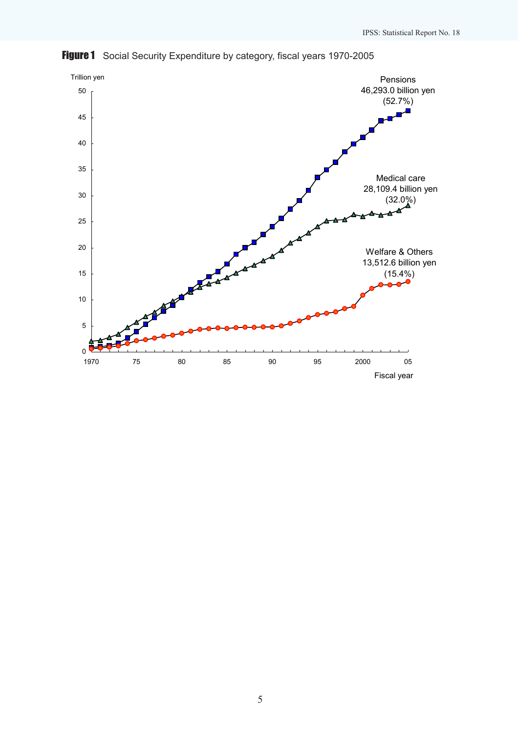

Figure 1 Social Security Expenditure by category, fiscal years 1970-2005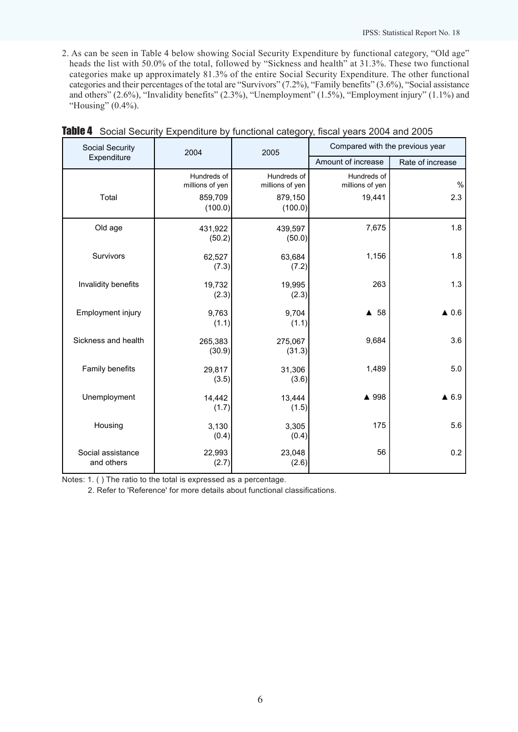2. As can be seen in Table 4 below showing Social Security Expenditure by functional category, "Old age" heads the list with 50.0% of the total, followed by "Sickness and health" at 31.3%. These two functional categories make up approximately 81.3% of the entire Social Security Expenditure. The other functional categories and their percentages of the total are "Survivors" (7.2%), "Family benefits" (3.6%), "Social assistance and others" (2.6%), "Invalidity benefits" (2.3%), "Unemployment" (1.5%), "Employment injury" (1.1%) and "Housing" (0.4%).

| Social Security                 | 2004                           | 2005                           | Compared with the previous year |                  |
|---------------------------------|--------------------------------|--------------------------------|---------------------------------|------------------|
| Expenditure                     |                                |                                | Amount of increase              | Rate of increase |
|                                 | Hundreds of<br>millions of yen | Hundreds of<br>millions of yen | Hundreds of<br>millions of yen  | $\%$             |
| Total                           | 859,709<br>(100.0)             | 879,150<br>(100.0)             | 19,441                          | 2.3              |
| Old age                         | 431,922<br>(50.2)              | 439,597<br>(50.0)              | 7,675                           | 1.8              |
| Survivors                       | 62,527<br>(7.3)                | 63,684<br>(7.2)                | 1,156                           | 1.8              |
| Invalidity benefits             | 19,732<br>(2.3)                | 19,995<br>(2.3)                | 263                             | 1.3              |
| Employment injury               | 9,763<br>(1.1)                 | 9,704<br>(1.1)                 | ▲ 58                            | $\triangle$ 0.6  |
| Sickness and health             | 265,383<br>(30.9)              | 275,067<br>(31.3)              | 9,684                           | 3.6              |
| Family benefits                 | 29,817<br>(3.5)                | 31,306<br>(3.6)                | 1,489                           | 5.0              |
| Unemployment                    | 14,442<br>(1.7)                | 13,444<br>(1.5)                | ▲ 998                           | $\triangle$ 6.9  |
| Housing                         | 3,130<br>(0.4)                 | 3,305<br>(0.4)                 | 175                             | 5.6              |
| Social assistance<br>and others | 22,993<br>(2.7)                | 23,048<br>(2.6)                | 56                              | 0.2              |

| Table 4 Social Security Expenditure by functional category, fiscal years 2004 and 2005 |  |  |  |
|----------------------------------------------------------------------------------------|--|--|--|
|                                                                                        |  |  |  |

Notes: 1. ( ) The ratio to the total is expressed as a percentage.

2. Refer to 'Reference' for more details about functional classifications.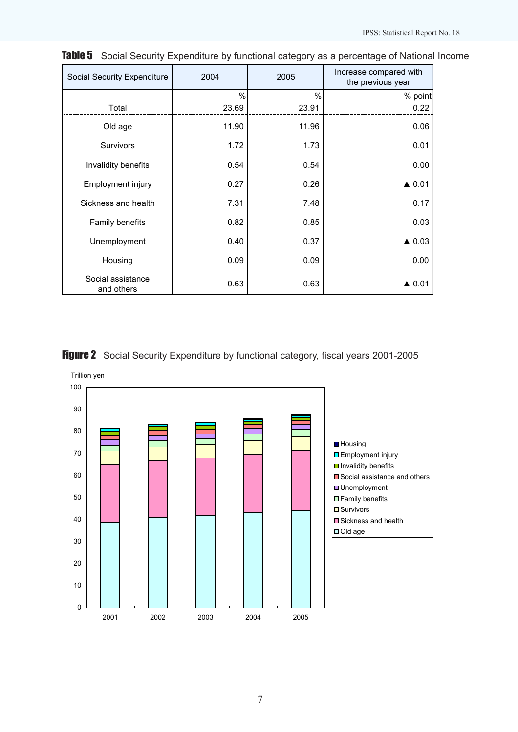| Social Security Expenditure     | 2004          | 2005  | Increase compared with<br>the previous year |
|---------------------------------|---------------|-------|---------------------------------------------|
|                                 | $\frac{0}{0}$ | $\%$  | % point                                     |
| Total                           | 23.69         | 23.91 | 0.22                                        |
| Old age                         | 11.90         | 11.96 | 0.06                                        |
| <b>Survivors</b>                | 1.72          | 1.73  | 0.01                                        |
| Invalidity benefits             | 0.54          | 0.54  | 0.00                                        |
| Employment injury               | 0.27          | 0.26  | $\triangle$ 0.01                            |
| Sickness and health             | 7.31          | 7.48  | 0.17                                        |
| Family benefits                 | 0.82          | 0.85  | 0.03                                        |
| Unemployment                    | 0.40          | 0.37  | $\triangle$ 0.03                            |
| Housing                         | 0.09          | 0.09  | 0.00                                        |
| Social assistance<br>and others | 0.63          | 0.63  | $\triangle$ 0.01                            |

Table 5 Social Security Expenditure by functional category as a percentage of National Income

## Figure 2 Social Security Expenditure by functional category, fiscal years 2001-2005

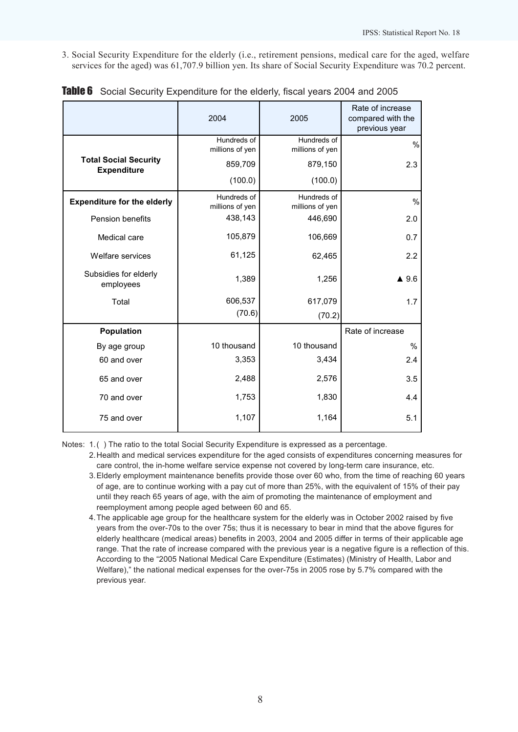3. Social Security Expenditure for the elderly (i.e., retirement pensions, medical care for the aged, welfare services for the aged) was 61,707.9 billion yen. Its share of Social Security Expenditure was 70.2 percent.

|                                                    | 2004                           | 2005                           | Rate of increase<br>compared with the<br>previous year |
|----------------------------------------------------|--------------------------------|--------------------------------|--------------------------------------------------------|
|                                                    | Hundreds of<br>millions of yen | Hundreds of<br>millions of yen | %                                                      |
| <b>Total Social Security</b><br><b>Expenditure</b> | 859,709                        | 879,150                        | 2.3                                                    |
|                                                    | (100.0)                        | (100.0)                        |                                                        |
| <b>Expenditure for the elderly</b>                 | Hundreds of<br>millions of yen | Hundreds of<br>millions of yen | $\%$                                                   |
| Pension benefits                                   | 438,143                        | 446,690                        | 2.0                                                    |
| Medical care                                       | 105,879                        | 106,669                        | 0.7                                                    |
| Welfare services                                   | 61,125                         | 62,465                         | 2.2                                                    |
| Subsidies for elderly<br>employees                 | 1,389                          | 1,256                          | $\blacktriangle$ 9.6                                   |
| Total                                              | 606,537                        | 617,079                        | 1.7                                                    |
|                                                    | (70.6)                         | (70.2)                         |                                                        |
| Population                                         |                                |                                | Rate of increase                                       |
| By age group                                       | 10 thousand                    | 10 thousand                    | $\%$                                                   |
| 60 and over                                        | 3,353                          | 3,434                          | 2.4                                                    |
| 65 and over                                        | 2,488                          | 2,576                          | 3.5                                                    |
| 70 and over                                        | 1,753                          | 1,830                          | 4.4                                                    |
| 75 and over                                        | 1,107                          | 1,164                          | 5.1                                                    |

|  | Table 6 Social Security Expenditure for the elderly, fiscal years 2004 and 2005 |  |  |  |  |  |  |
|--|---------------------------------------------------------------------------------|--|--|--|--|--|--|
|--|---------------------------------------------------------------------------------|--|--|--|--|--|--|

Notes: 1.() The ratio to the total Social Security Expenditure is expressed as a percentage.

- 2.Health and medical services expenditure for the aged consists of expenditures concerning measures for care control, the in-home welfare service expense not covered by long-term care insurance, etc.
- 3.Elderly employment maintenance benefits provide those over 60 who, from the time of reaching 60 years of age, are to continue working with a pay cut of more than 25%, with the equivalent of 15% of their pay until they reach 65 years of age, with the aim of promoting the maintenance of employment and reemployment among people aged between 60 and 65.
- 4.The applicable age group for the healthcare system for the elderly was in October 2002 raised by five years from the over-70s to the over 75s; thus it is necessary to bear in mind that the above figures for elderly healthcare (medical areas) benefits in 2003, 2004 and 2005 differ in terms of their applicable age range. That the rate of increase compared with the previous year is a negative figure is a reflection of this. According to the "2005 National Medical Care Expenditure (Estimates) (Ministry of Health, Labor and Welfare)," the national medical expenses for the over-75s in 2005 rose by 5.7% compared with the previous year.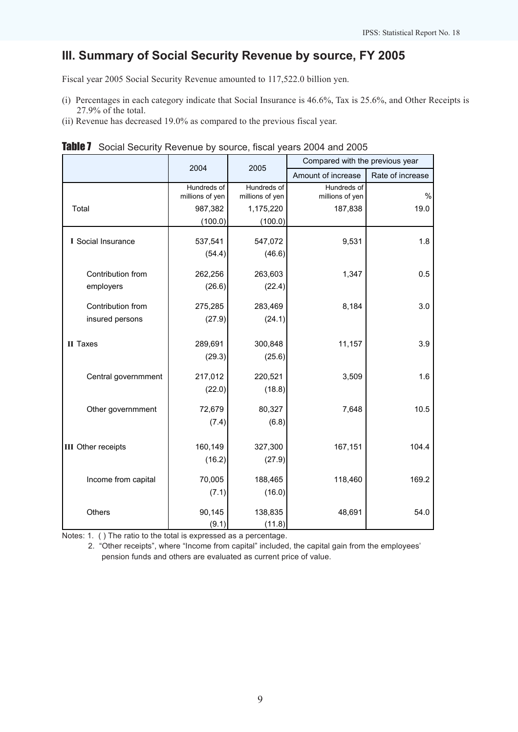# III. Summary of Social Security Revenue by source, FY 2005

Fiscal year 2005 Social Security Revenue amounted to 117,522.0 billion yen.

- (i) Percentages in each category indicate that Social Insurance is 46.6%, Tax is 25.6%, and Other Receipts is 27.9% of the total.
- (ii) Revenue has decreased 19.0% as compared to the previous fiscal year.

|                           | 2004                           | 2005                           | Compared with the previous year |                  |
|---------------------------|--------------------------------|--------------------------------|---------------------------------|------------------|
|                           |                                |                                | Amount of increase              | Rate of increase |
|                           | Hundreds of<br>millions of yen | Hundreds of<br>millions of yen | Hundreds of<br>millions of yen  | $\%$             |
| Total                     | 987,382                        | 1,175,220                      | 187,838                         | 19.0             |
|                           | (100.0)                        | (100.0)                        |                                 |                  |
| I Social Insurance        | 537,541                        | 547,072                        | 9,531                           | 1.8              |
|                           | (54.4)                         | (46.6)                         |                                 |                  |
| Contribution from         | 262,256                        | 263,603                        | 1,347                           | 0.5              |
| employers                 | (26.6)                         | (22.4)                         |                                 |                  |
| Contribution from         | 275,285                        | 283,469                        | 8,184                           | 3.0              |
| insured persons           | (27.9)                         | (24.1)                         |                                 |                  |
|                           |                                |                                |                                 |                  |
| II Taxes                  | 289,691                        | 300,848                        | 11,157                          | 3.9              |
|                           | (29.3)                         | (25.6)                         |                                 |                  |
| Central governmment       | 217,012                        | 220,521                        | 3,509                           | 1.6              |
|                           | (22.0)                         | (18.8)                         |                                 |                  |
| Other governmment         | 72,679                         | 80,327                         | 7,648                           | 10.5             |
|                           | (7.4)                          | (6.8)                          |                                 |                  |
|                           |                                |                                |                                 |                  |
| <b>III</b> Other receipts | 160,149                        | 327,300                        | 167,151                         | 104.4            |
|                           | (16.2)                         | (27.9)                         |                                 |                  |
| Income from capital       | 70,005                         | 188,465                        | 118,460                         | 169.2            |
|                           | (7.1)                          | (16.0)                         |                                 |                  |
| Others                    | 90,145                         | 138,835                        | 48,691                          | 54.0             |
|                           | (9.1)                          | (11.8)                         |                                 |                  |

**Table 7** Social Security Revenue by source, fiscal years 2004 and 2005

Notes: 1. ( ) The ratio to the total is expressed as a percentage.

 2. "Other receipts", where "Income from capital" included, the capital gain from the employees' pension funds and others are evaluated as current price of value.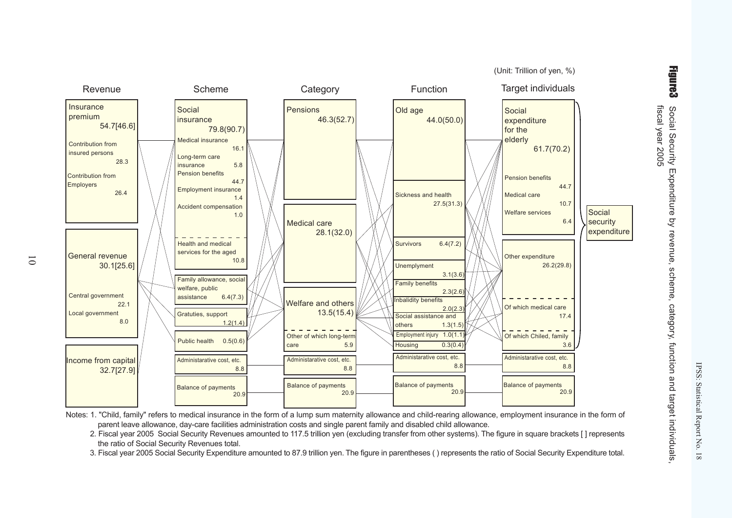(Unit: Trillion of yen, %)**Revenue**  Scheme Category Function Target individuals General revenue $30.1[25.6]$ Central government 22.1Local government 8.0Income from capital 32.7[27.9]Socialinsurance 79.8(90.7)Medical insurance 16.1Long-term careinsurance 5.8Pension benefits 44.7 Employment insurance1.4 and 1.4 Accident compensation1.0 and 1.0 Health and medicalservices for the aged 10.8 Family allowance, socialwelfare, publicassistance 6.4(7.3)Public health 0.5(0.6)Gratuties, support $1.2(1.4)$ Administarative cost, etc. 8.8Balance of payments 20.9Pensions $46.3(52.7)$ Medical care 28.1(32.0)Welfare and others $13.5(15.4)$ Other of which long-term5.9 care Old age 44.0(50.0)Sickness and health $27.5(31.3)$ Survivors 6.4(7.2)Unemplyment 3.1(3.6)Family benefits 2.3(2.6)Social assistance and others 1.3(1.5)Employment injury 1.0(1) Housing 0.3(0.4) Socialexpenditurefor the elderly 61.7(70.2)Pension benefits 44.7Medical care 10.7Welfare services 6.4Other expenditure $26.2(29.8)$ Of which medical care17.4 Of which Chiled, family3.6 3.6 **Social**  security expenditureAdministarative cost, etc. 8.8Administarative cost, etc. 8.8Administarative cost, etc. 8.8Balance of payments 20.9Balance of payments 20.9Balance of payments 20.9Inbalidity benefits $2.0(2.3)$ Contribution from**Employers**  26.4**Insurance**  premium 54.7[46.6]Contribution from insured persons28.3

Notes: 1. "Child, family" refers to medical insurance in the form of a lump sum maternity allowance and child-rearing allowance, employment insurance in the form of parent leave allowance, day-care facilities administration costs and single parent family and disabled child allowance.

 2. Fiscal year 2005 Social Security Revenues amounted to 117.5 trillion yen (excluding transfer from other systems). The figure in square brackets [ ] representsthe ratio of Social Security Revenues total.

3. Fiscal year 2005 Social Security Expenditure amounted to 87.9 trillion yen. The figure in parentheses ( ) represents the ratio of Social Security Expenditure total.

Figure3

IPSS: Statistical Report No. 18

IPSS: Statistical Report No. 18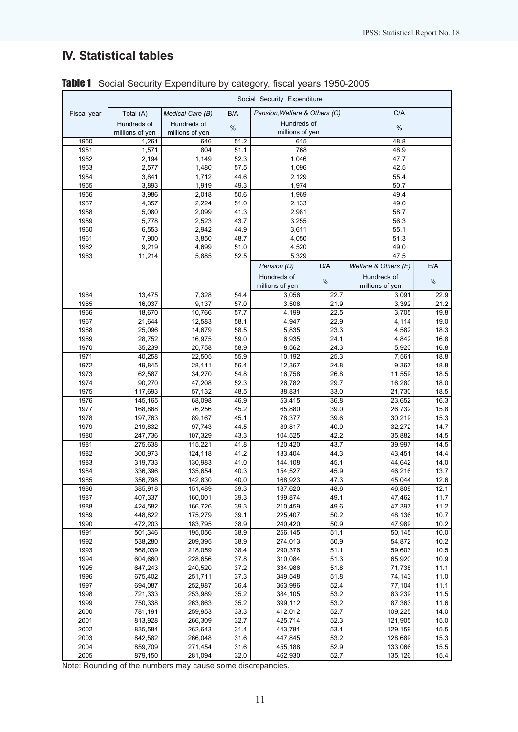# IV. Statistical tables

|              | Social Security Expenditure |                    |              |                               |              |                      |              |  |  |  |  |
|--------------|-----------------------------|--------------------|--------------|-------------------------------|--------------|----------------------|--------------|--|--|--|--|
| Fiscal year  | Total (A)                   | Medical Care (B)   | B/A          | Pension, Welfare & Others (C) |              | C/A                  |              |  |  |  |  |
|              | Hundreds of                 | Hundreds of        | $\%$         | Hundreds of                   |              | %                    |              |  |  |  |  |
|              | millions of yen             | millions of yen    |              | millions of yen               |              |                      |              |  |  |  |  |
| 1950<br>1951 | 1,261<br>1,571              | 646<br>804         | 51.2<br>51.1 | 615<br>768                    |              | 48.8<br>48.9         |              |  |  |  |  |
| 1952         | 2,194                       | 1,149              | 52.3         | 1,046                         |              | 47.7                 |              |  |  |  |  |
| 1953         | 2,577                       | 1,480              | 57.5         | 1,096                         |              | 42.5                 |              |  |  |  |  |
| 1954         | 3,841                       | 1,712              | 44.6         | 2,129                         |              | 55.4                 |              |  |  |  |  |
| 1955         | 3,893                       | 1,919              | 49.3         | 1,974                         |              | 50.7                 |              |  |  |  |  |
| 1956         | 3,986                       | 2,018              | 50.6         | 1,969                         |              | 49.4                 |              |  |  |  |  |
| 1957         | 4,357                       | 2,224              | 51.0         | 2,133                         |              | 49.0                 |              |  |  |  |  |
| 1958         | 5,080                       | 2,099              | 41.3         | 2,981                         |              | 58.7                 |              |  |  |  |  |
| 1959         | 5,778                       | 2,523              | 43.7         | 3,255                         |              | 56.3                 |              |  |  |  |  |
| 1960         | 6,553                       | 2,942              | 44.9         | 3,611                         |              | 55.1                 |              |  |  |  |  |
| 1961         | 7,900                       | 3,850              | 48.7         | 4,050                         |              | 51.3                 |              |  |  |  |  |
| 1962         | 9,219                       | 4,699              | 51.0         | 4,520                         |              | 49.0                 |              |  |  |  |  |
| 1963         | 11,214                      | 5,885              | 52.5         | 5,329                         |              | 47.5                 |              |  |  |  |  |
|              |                             |                    |              | Pension (D)                   | D/A          | Welfare & Others (E) | E/A          |  |  |  |  |
|              |                             |                    |              | Hundreds of                   | $\%$         | Hundreds of          | $\%$         |  |  |  |  |
|              |                             |                    |              | millions of yen               |              | millions of yen      |              |  |  |  |  |
| 1964         | 13,475                      | 7,328              | 54.4         | 3,056                         | 22.7         | 3,091                | 22.9         |  |  |  |  |
| 1965         | 16,037                      | 9,137              | 57.0         | 3,508                         | 21.9         | 3,392                | 21.2         |  |  |  |  |
| 1966<br>1967 | 18,670<br>21,644            | 10,766<br>12,583   | 57.7<br>58.1 | 4,199<br>4,947                | 22.5<br>22.9 | 3,705<br>4,114       | 19.8<br>19.0 |  |  |  |  |
| 1968         | 25,096                      | 14,679             | 58.5         | 5,835                         | 23.3         | 4,582                | 18.3         |  |  |  |  |
| 1969         | 28,752                      | 16,975             | 59.0         | 6,935                         | 24.1         | 4,842                | 16.8         |  |  |  |  |
| 1970         | 35,239                      | 20,758             | 58.9         | 8,562                         | 24.3         | 5,920                | 16.8         |  |  |  |  |
| 1971         | 40,258                      | 22,505             | 55.9         | 10,192                        | 25.3         | 7,561                | 18.8         |  |  |  |  |
| 1972         | 49,845                      | 28,111             | 56.4         | 12,367                        | 24.8         | 9,367                | 18.8         |  |  |  |  |
| 1973         | 62,587                      | 34,270             | 54.8         | 16,758                        | 26.8         | 11,559               | 18.5         |  |  |  |  |
| 1974         | 90,270                      | 47,208             | 52.3         | 26,782                        | 29.7         | 16,280               | 18.0         |  |  |  |  |
| 1975         | 117,693                     | 57,132             | 48.5         | 38,831                        | 33.0         | 21,730               | 18.5         |  |  |  |  |
| 1976         | 145,165                     | 68,098             | 46.9         | 53,415                        | 36.8         | 23,652               | 16.3         |  |  |  |  |
| 1977         | 168,868                     | 76,256             | 45.2         | 65,880                        | 39.0         | 26,732               | 15.8         |  |  |  |  |
| 1978         | 197,763                     | 89,167             | 45.1         | 78,377                        | 39.6         | 30,219               | 15.3         |  |  |  |  |
| 1979<br>1980 | 219,832<br>247,736          | 97,743<br>107,329  | 44.5<br>43.3 | 89,817<br>104,525             | 40.9<br>42.2 | 32,272<br>35,882     | 14.7<br>14.5 |  |  |  |  |
| 1981         | 275,638                     | 115,221            | 41.8         | 120,420                       | 43.7         | 39,997               | 14.5         |  |  |  |  |
| 1982         | 300,973                     | 124,118            | 41.2         | 133,404                       | 44.3         | 43,451               | 14.4         |  |  |  |  |
| 1983         | 319,733                     | 130,983            | 41.0         | 144,108                       | 45.1         | 44,642               | 14.0         |  |  |  |  |
| 1984         | 336,396                     | 135,654            | 40.3         | 154,527                       | 45.9         | 46,216               | 13.7         |  |  |  |  |
| 1985         | 356,798                     | 142,830            | 40.0         | 168,923                       | 47.3         | 45,044               | 12.6         |  |  |  |  |
| 1986         | 385,918                     | 151,489            | 39.3         | 187,620                       | 48.6         | 46,809               | 12.1         |  |  |  |  |
| 1987         | 407,337                     | 160,001            | 39.3         | 199,874                       | 49.1         | 47,462               | 11.7         |  |  |  |  |
| 1988         | 424,582                     | 166,726            | 39.3         | 210,459                       | 49.6         | 47,397               | 11.2         |  |  |  |  |
| 1989         | 448,822                     | 175,279            | 39.1         | 225,407                       | 50.2         | 48,136               | 10.7         |  |  |  |  |
| 1990         | 472,203                     | 183,795            | 38.9         | 240,420                       | 50.9         | 47,989               | 10.2         |  |  |  |  |
| 1991         | 501,346                     | 195,056<br>209,395 | 38.9<br>38.9 | 256,145<br>274,013            | 51.1<br>50.9 | 50,145               | 10.0         |  |  |  |  |
| 1992<br>1993 | 538,280<br>568,039          | 218,059            | 38.4         | 290,376                       | 51.1         | 54,872<br>59,603     | 10.2<br>10.5 |  |  |  |  |
| 1994         | 604,660                     | 228,656            | 37.8         | 310,084                       | 51.3         | 65,920               | 10.9         |  |  |  |  |
| 1995         | 647,243                     | 240,520            | 37.2         | 334,986                       | 51.8         | 71,738               | 11.1         |  |  |  |  |
| 1996         | 675,402                     | 251,711            | 37.3         | 349,548                       | 51.8         | 74,143               | 11.0         |  |  |  |  |
| 1997         | 694,087                     | 252,987            | 36.4         | 363,996                       | 52.4         | 77,104               | 11.1         |  |  |  |  |
| 1998         | 721,333                     | 253,989            | 35.2         | 384,105                       | 53.2         | 83,239               | 11.5         |  |  |  |  |
| 1999         | 750,338                     | 263,863            | 35.2         | 399,112                       | 53.2         | 87,363               | 11.6         |  |  |  |  |
| 2000         | 781,191                     | 259,953            | 33.3         | 412,012                       | 52.7         | 109,225              | 14.0         |  |  |  |  |
| 2001         | 813,928                     | 266,309            | 32.7         | 425,714                       | 52.3         | 121,905              | 15.0         |  |  |  |  |
| 2002         | 835,584                     | 262,643            | 31.4         | 443,781                       | 53.1         | 129,159              | 15.5         |  |  |  |  |
| 2003         | 842,582                     | 266,048            | 31.6         | 447,845                       | 53.2         | 128,689              | 15.3         |  |  |  |  |
| 2004         | 859,709                     | 271,454            | 31.6         | 455,188                       | 52.9         | 133,066              | 15.5         |  |  |  |  |
| 2005         | 879,150                     | 281,094            | 32.0         | 462,930                       | 52.7         | 135,126              | 15.4         |  |  |  |  |

Table 1 Social Security Expenditure by category, fiscal years 1950-2005

Note: Rounding of the numbers may cause some discrepancies.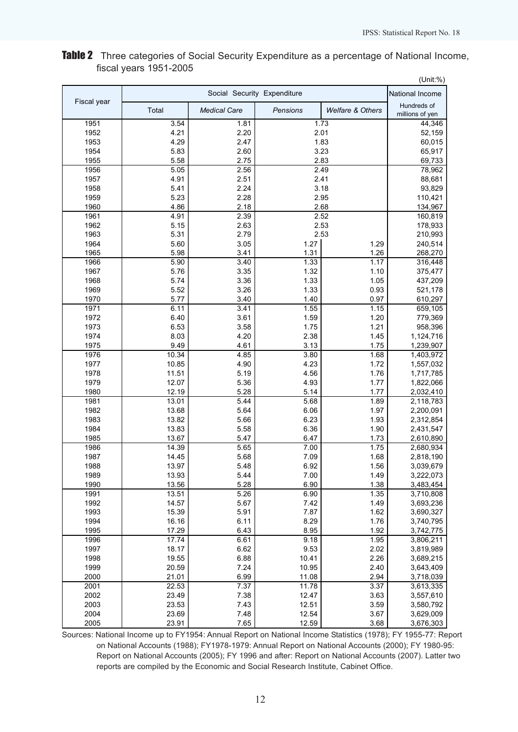|              |                |                     |                             |                             | (Unit:%)               |
|--------------|----------------|---------------------|-----------------------------|-----------------------------|------------------------|
|              |                |                     | Social Security Expenditure |                             | National Income        |
| Fiscal year  | Total          | <b>Medical Care</b> | Pensions                    | <b>Welfare &amp; Others</b> | Hundreds of            |
|              |                |                     |                             |                             | millions of yen        |
| 1951         | 3.54           | 1.81                |                             | 1.73                        | 44,346                 |
| 1952         | 4.21           | 2.20                |                             | 2.01                        | 52,159                 |
| 1953         | 4.29           | 2.47                |                             | 1.83                        | 60,015                 |
| 1954         | 5.83           | 2.60                |                             | 3.23                        | 65,917                 |
| 1955         | 5.58           | 2.75<br>2.56        |                             | 2.83                        | 69,733                 |
| 1956         | 5.05           |                     |                             | 2.49                        | 78,962                 |
| 1957         | 4.91           | 2.51                |                             | 2.41                        | 88,681                 |
| 1958<br>1959 | 5.41<br>5.23   | 2.24<br>2.28        |                             | 3.18<br>2.95                | 93,829                 |
| 1960         | 4.86           | 2.18                |                             | 2.68                        | 110,421<br>134,967     |
| 1961         | 4.91           | 2.39                |                             | 2.52                        | 160,819                |
| 1962         | 5.15           | 2.63                |                             | 2.53                        | 178,933                |
| 1963         | 5.31           | 2.79                |                             | 2.53                        | 210,993                |
| 1964         | 5.60           | 3.05                | 1.27                        | 1.29                        | 240,514                |
| 1965         | 5.98           | 3.41                | 1.31                        | 1.26                        | 268,270                |
| 1966         | 5.90           | 3.40                | 1.33                        | 1.17                        | 316,448                |
| 1967         | 5.76           | 3.35                | 1.32                        | 1.10                        | 375,477                |
| 1968         | 5.74           | 3.36                | 1.33                        | 1.05                        | 437,209                |
| 1969         | 5.52           | 3.26                | 1.33                        | 0.93                        | 521,178                |
| 1970         | 5.77           | 3.40                | 1.40                        | 0.97                        | 610,297                |
| 1971         | 6.11           | 3.41                | 1.55                        | 1.15                        | 659,105                |
| 1972         | 6.40           | 3.61                | 1.59                        | 1.20                        | 779,369                |
| 1973         | 6.53           | 3.58                | 1.75                        | 1.21                        | 958,396                |
| 1974         | 8.03           | 4.20                | 2.38                        | 1.45                        | 1,124,716              |
| 1975         | 9.49           | 4.61                | 3.13                        | 1.75                        | 1,239,907              |
| 1976         | 10.34          | 4.85                | 3.80                        | 1.68                        | 1,403,972              |
| 1977         | 10.85          | 4.90                | 4.23                        | 1.72                        | 1,557,032              |
| 1978         | 11.51          | 5.19                | 4.56                        | 1.76                        | 1,717,785              |
| 1979         | 12.07          | 5.36                | 4.93                        | 1.77                        | 1,822,066              |
| 1980         | 12.19          | 5.28                | 5.14                        | 1.77                        | 2,032,410              |
| 1981         | 13.01          | 5.44                | 5.68                        | 1.89                        | 2,118,783              |
| 1982         | 13.68          | 5.64                | 6.06                        | 1.97                        | 2,200,091              |
| 1983         | 13.82          | 5.66                | 6.23                        | 1.93                        | 2,312,854              |
| 1984         | 13.83          | 5.58                | 6.36                        | 1.90                        | 2,431,547              |
| 1985         | 13.67          | 5.47                | 6.47                        | 1.73                        | 2,610,890              |
| 1986         | 14.39          | 5.65                | 7.00                        | 1.75                        | 2,680,934              |
| 1987         | 14.45          | 5.68                | 7.09                        | 1.68                        | 2,818,190              |
| 1988         | 13.97          | 5.48                | 6.92                        | 1.56                        | 3,039,679              |
| 1989         | 13.93          | 5.44                | 7.00                        | 1.49                        | 3,222,073              |
| 1990         | 13.56          | 5.28                | 6.90                        | 1.38                        | 3,483,454              |
| 1991         | 13.51          | 5.26                | 6.90                        | 1.35                        | 3,710,808              |
| 1992         | 14.57          | 5.67                | 7.42                        | 1.49                        | 3,693,236              |
| 1993<br>1994 | 15.39<br>16.16 | 5.91<br>6.11        | 7.87<br>8.29                | 1.62<br>1.76                | 3,690,327              |
| 1995         | 17.29          | 6.43                | 8.95                        | 1.92                        | 3,740,795<br>3,742,775 |
| 1996         | 17.74          | 6.61                | 9.18                        | 1.95                        | 3,806,211              |
| 1997         | 18.17          | 6.62                | 9.53                        | 2.02                        | 3,819,989              |
| 1998         | 19.55          | 6.88                | 10.41                       | 2.26                        | 3,689,215              |
| 1999         | 20.59          | 7.24                | 10.95                       | 2.40                        | 3,643,409              |
| 2000         | 21.01          | 6.99                | 11.08                       | 2.94                        | 3,718,039              |
| 2001         | 22.53          | 7.37                | 11.78                       | 3.37                        | 3,613,335              |
| 2002         | 23.49          | 7.38                | 12.47                       | 3.63                        | 3,557,610              |
| 2003         | 23.53          | 7.43                | 12.51                       | 3.59                        | 3,580,792              |
| 2004         | 23.69          | 7.48                | 12.54                       | 3.67                        | 3,629,009              |
| 2005         | 23.91          | 7.65                | 12.59                       | 3.68                        | 3,676,303              |

## Table 2 Three categories of Social Security Expenditure as a percentage of National Income, fiscal years 1951-2005

Sources: National Income up to FY1954: Annual Report on National Income Statistics (1978); FY 1955-77: Report on National Accounts (1988); FY1978-1979: Annual Report on National Accounts (2000); FY 1980-95: Report on National Accounts (2005); FY 1996 and after: Report on National Accounts (2007). Latter two reports are compiled by the Economic and Social Research Institute, Cabinet Office.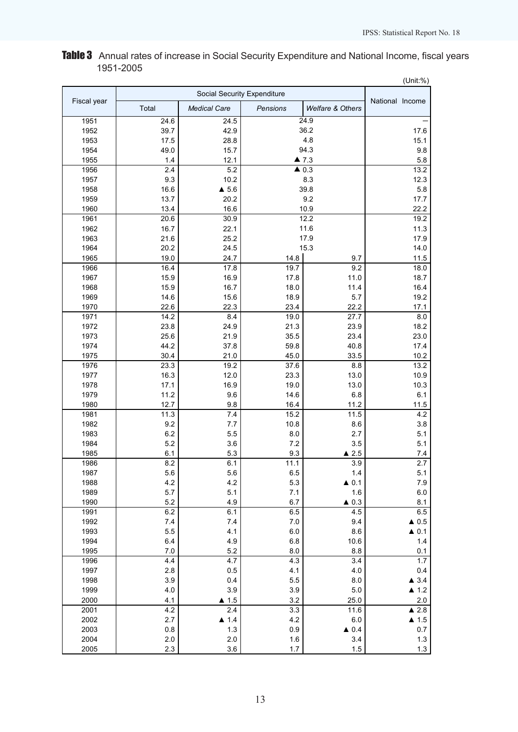Table 3 Annual rates of increase in Social Security Expenditure and National Income, fiscal years 1951-2005

|             |       |                             |          |                      | (Unit:%)             |
|-------------|-------|-----------------------------|----------|----------------------|----------------------|
|             |       | Social Security Expenditure |          |                      |                      |
| Fiscal year | Total | <b>Medical Care</b>         | Pensions | Welfare & Others     | National Income      |
| 1951        | 24.6  | 24.5                        |          | 24.9                 |                      |
| 1952        | 39.7  | 42.9                        |          | 36.2                 | 17.6                 |
| 1953        | 17.5  | 28.8                        |          | 4.8                  | 15.1                 |
| 1954        | 49.0  | 15.7                        |          | 94.3                 | 9.8                  |
| 1955        | 1.4   | 12.1                        |          | $\blacktriangle$ 7.3 | 5.8                  |
| 1956        | 2.4   | 5.2                         |          | $\triangle$ 0.3      | 13.2                 |
| 1957        | 9.3   | 10.2                        |          | 8.3                  | 12.3                 |
| 1958        | 16.6  | $\triangle$ 5.6             |          | 39.8                 | 5.8                  |
| 1959        | 13.7  | 20.2                        |          | 9.2                  | 17.7                 |
| 1960        | 13.4  | 16.6                        |          | 10.9                 | 22.2                 |
| 1961        | 20.6  | 30.9                        |          | 12.2                 | 19.2                 |
| 1962        | 16.7  | 22.1                        |          | 11.6                 | 11.3                 |
| 1963        | 21.6  | 25.2                        |          | 17.9                 | 17.9                 |
| 1964        | 20.2  | 24.5                        |          | 15.3                 | 14.0                 |
| 1965        | 19.0  | 24.7                        | 14.8     | 9.7                  | 11.5                 |
| 1966        | 16.4  | 17.8                        | 19.7     | 9.2                  | 18.0                 |
| 1967        | 15.9  | 16.9                        | 17.8     | 11.0                 | 18.7                 |
| 1968        | 15.9  | 16.7                        | 18.0     | 11.4                 | 16.4                 |
| 1969        | 14.6  | 15.6                        | 18.9     | 5.7                  | 19.2                 |
| 1970        | 22.6  | 22.3                        | 23.4     | 22.2                 | 17.1                 |
| 1971        | 14.2  | 8.4                         | 19.0     | 27.7                 | 8.0                  |
| 1972        | 23.8  | 24.9                        | 21.3     | 23.9                 | 18.2                 |
| 1973        | 25.6  | 21.9                        | 35.5     | 23.4                 | 23.0                 |
| 1974        | 44.2  | 37.8                        | 59.8     | 40.8                 | 17.4                 |
| 1975        | 30.4  | 21.0                        | 45.0     | 33.5                 | 10.2                 |
| 1976        | 23.3  | 19.2                        | 37.6     | 8.8                  | 13.2                 |
| 1977        | 16.3  | 12.0                        | 23.3     | 13.0                 | 10.9                 |
| 1978        | 17.1  | 16.9                        | 19.0     | 13.0                 | 10.3                 |
| 1979        | 11.2  | 9.6                         | 14.6     | 6.8                  | 6.1                  |
| 1980        | 12.7  | 9.8                         | 16.4     | 11.2                 | 11.5                 |
| 1981        | 11.3  | 7.4                         | 15.2     | 11.5                 | 4.2                  |
| 1982        | 9.2   | 7.7                         | 10.8     | 8.6                  | 3.8                  |
| 1983        | 6.2   | 5.5                         | 8.0      | 2.7                  | 5.1                  |
| 1984        | 5.2   | 3.6                         | 7.2      | 3.5                  | 5.1                  |
| 1985        | 6.1   | 5.3                         | 9.3      | $\triangle$ 2.5      | 7.4                  |
| 1986        | 8.2   | 6.1                         | 11.1     | $\overline{3.9}$     | 27                   |
| 1987        | 5.6   | 5.6                         | 6.5      | 1.4                  | 5.1                  |
| 1988        | 4.2   | 4.2                         | 5.3      | $\triangle$ 0.1      | 7.9                  |
| 1989        | 5.7   | 5.1                         | 7.1      | 1.6                  | 6.0                  |
| 1990        | 5.2   | 4.9                         | 6.7      | $\triangle$ 0.3      | 8.1                  |
| 1991        | 6.2   | 6.1                         | 6.5      | 4.5                  | 6.5                  |
| 1992        | 7.4   | $7.4$                       | 7.0      | 9.4                  | $\triangle$ 0.5      |
| 1993        | 5.5   | 4.1                         | 6.0      | 8.6                  | $\triangle$ 0.1      |
| 1994        | 6.4   | 4.9                         | 6.8      | 10.6                 | 1.4                  |
| 1995        | $7.0$ | 5.2                         | 8.0      | 8.8                  | 0.1                  |
| 1996        | 4.4   | 4.7                         | 4.3      | 3.4                  | 1.7                  |
| 1997        | 2.8   | 0.5                         | 4.1      | 4.0                  | 0.4                  |
| 1998        | 3.9   | 0.4                         | 5.5      | $8.0\,$              | $\triangle$ 3.4      |
| 1999        | 4.0   | 3.9                         | 3.9      | $5.0\,$              | $\blacktriangle$ 1.2 |
| 2000        | 4.1   | $\blacktriangle$ 1.5        | 3.2      | 25.0                 | 2.0                  |
| 2001        | 4.2   | 2.4                         | 3.3      | 11.6                 | $\blacktriangle$ 2.8 |
| 2002        | 2.7   | $\blacktriangle$ 1.4        | 4.2      | 6.0                  | $\blacktriangle$ 1.5 |
| 2003        | 0.8   | 1.3                         | 0.9      | $\triangle$ 0.4      | 0.7                  |
| 2004        | 2.0   | 2.0                         | 1.6      | 3.4                  | $1.3$                |
| 2005        | 2.3   | 3.6                         | 1.7      | 1.5                  | $1.3$                |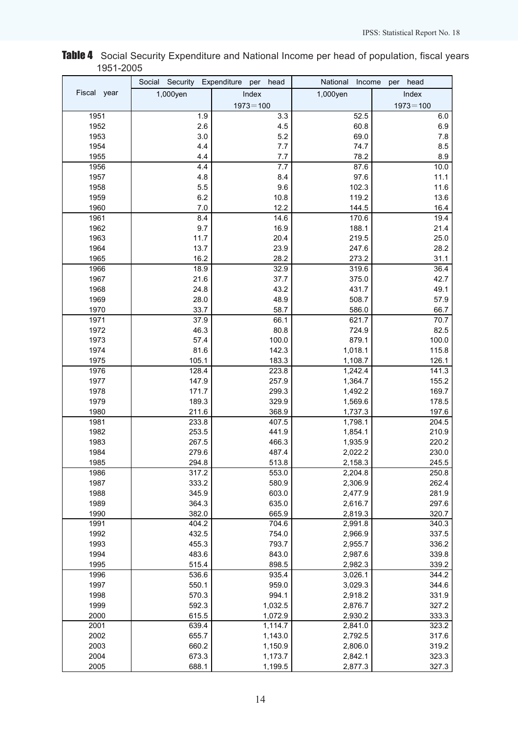|             | Social<br>Security | Expenditure<br>head<br>per | National<br>Income | head<br>per  |
|-------------|--------------------|----------------------------|--------------------|--------------|
| Fiscal year | 1,000yen           | Index                      | 1,000yen           | Index        |
|             |                    | $1973 = 100$               |                    | $1973 = 100$ |
| 1951        | 1.9                | 3.3                        | 52.5               | 6.0          |
| 1952        | 2.6                | 4.5                        | 60.8               | 6.9          |
| 1953        | 3.0                | 5.2                        | 69.0               | 7.8          |
| 1954        | 4.4                | 7.7                        | 74.7               | 8.5          |
| 1955        | 4.4                | 7.7                        | 78.2               | 8.9          |
| 1956        | 4.4                | 7.7                        | 87.6               | 10.0         |
| 1957        | 4.8                | 8.4                        | 97.6               | 11.1         |
| 1958        | 5.5                | 9.6                        | 102.3              | 11.6         |
| 1959        | 6.2                | 10.8                       | 119.2              | 13.6         |
| 1960        | $7.0$              | 12.2                       | 144.5              | 16.4         |
| 1961        | 8.4                | 14.6                       | 170.6              | 19.4         |
| 1962        | 9.7                | 16.9                       | 188.1              | 21.4         |
| 1963        | 11.7               | 20.4                       | 219.5              | 25.0         |
| 1964        | 13.7               | 23.9                       | 247.6              | 28.2         |
| 1965        | 16.2               | 28.2                       | 273.2              | 31.1         |
| 1966        | 18.9               | 32.9                       | 319.6              | 36.4         |
| 1967        | 21.6               | 37.7                       | 375.0              | 42.7         |
| 1968        | 24.8               | 43.2                       | 431.7              | 49.1         |
| 1969        | 28.0               | 48.9                       | 508.7              | 57.9         |
| 1970        | 33.7               | 58.7                       | 586.0              | 66.7         |
| 1971        | 37.9               | 66.1                       | 621.7              | 70.7         |
| 1972        | 46.3               | 80.8                       | 724.9              | 82.5         |
| 1973        | 57.4               | 100.0                      | 879.1              | 100.0        |
| 1974        | 81.6               | 142.3                      | 1,018.1            | 115.8        |
| 1975        | 105.1              | 183.3                      | 1,108.7            | 126.1        |
| 1976        | 128.4              | 223.8                      | 1,242.4            | 141.3        |
| 1977        | 147.9              | 257.9                      | 1,364.7            | 155.2        |
| 1978        | 171.7              | 299.3                      | 1,492.2            | 169.7        |
| 1979        | 189.3              | 329.9                      | 1,569.6            | 178.5        |
| 1980        | 211.6              | 368.9                      | 1,737.3            | 197.6        |
| 1981        | 233.8              | 407.5                      | 1,798.1            | 204.5        |
| 1982        | 253.5              | 441.9                      | 1,854.1            | 210.9        |
| 1983        | 267.5              | 466.3                      | 1,935.9            | 220.2        |
| 1984        | 279.6              | 487.4                      | 2,022.2            | 230.0        |
| 1985        | 294.8              | 513.8                      | 2,158.3            | 245.5        |
| 1986        | 317.2              | 553.0                      | 2,204.8            | 250.8        |
| 1987        | 333.2              | 580.9                      | 2,306.9            | 262.4        |
| 1988        | 345.9              | 603.0                      | 2,477.9            | 281.9        |
| 1989        | 364.3              | 635.0                      | 2,616.7            | 297.6        |
| 1990        | 382.0              | 665.9                      | 2,819.3            | 320.7        |
| 1991        | 404.2              | 704.6                      | 2,991.8            | 340.3        |
| 1992        | 432.5              | 754.0                      | 2,966.9            | 337.5        |
| 1993        | 455.3              | 793.7                      | 2,955.7            | 336.2        |
| 1994        | 483.6              | 843.0                      | 2,987.6            | 339.8        |
| 1995        | 515.4              | 898.5                      | 2,982.3            | 339.2        |
| 1996        | 536.6              | 935.4                      | 3,026.1            | 344.2        |
| 1997        | 550.1              | 959.0                      | 3,029.3            | 344.6        |
| 1998        | 570.3              | 994.1                      | 2,918.2            | 331.9        |
| 1999        | 592.3              | 1,032.5                    | 2,876.7            | 327.2        |
| 2000        | 615.5              | 1,072.9                    | 2,930.2            | 333.3        |
| 2001        | 639.4              | 1,114.7                    | 2,841.0            | 323.2        |
| 2002        | 655.7              | 1,143.0                    | 2,792.5            | 317.6        |
| 2003        | 660.2              | 1,150.9                    | 2,806.0            | 319.2        |
| 2004        | 673.3              | 1,173.7                    | 2,842.1            | 323.3        |
| 2005        | 688.1              | 1,199.5                    | 2,877.3            | 327.3        |

## Table 4 Social Security Expenditure and National Income per head of population, fiscal years 1951-2005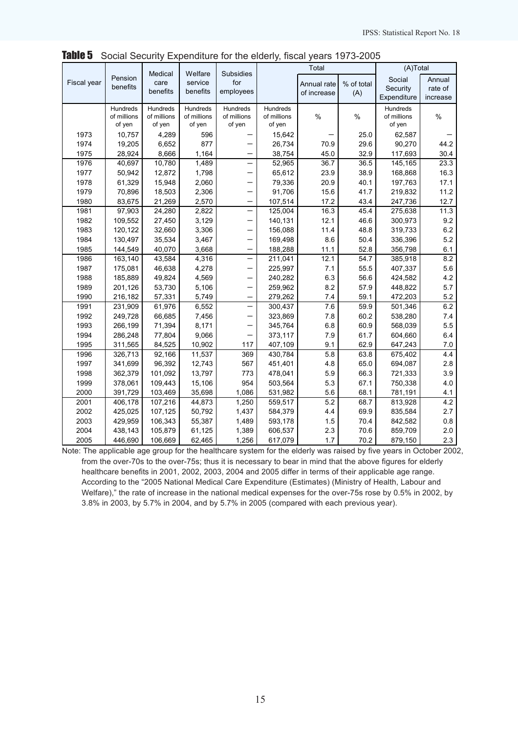|             |             | Medical     | Welfare     | Subsidies                |             | Total         |            | (A)Total    |          |  |
|-------------|-------------|-------------|-------------|--------------------------|-------------|---------------|------------|-------------|----------|--|
| Fiscal year | Pension     | care        | service     | for                      |             | Annual rate   | % of total | Social      | Annual   |  |
|             | benefits    | benefits    | benefits    | employees                |             | of increase   | (A)        | Security    | rate of  |  |
|             |             |             |             |                          |             |               |            | Expenditure | increase |  |
|             | Hundreds    | Hundreds    | Hundreds    | Hundreds                 | Hundreds    |               |            | Hundreds    |          |  |
|             | of millions | of millions | of millions | of millions              | of millions | $\frac{0}{0}$ | $\%$       | of millions | $\%$     |  |
|             | of yen      | of yen      | of yen      | of yen                   | of yen      |               |            | of yen      |          |  |
| 1973        | 10.757      | 4,289       | 596         |                          | 15,642      |               | 25.0       | 62,587      |          |  |
| 1974        | 19,205      | 6,652       | 877         |                          | 26,734      | 70.9          | 29.6       | 90,270      | 44.2     |  |
| 1975        | 28,924      | 8,666       | 1,164       |                          | 38,754      | 45.0          | 32.9       | 117,693     | 30.4     |  |
| 1976        | 40,697      | 10,780      | 1,489       |                          | 52,965      | 36.7          | 36.5       | 145,165     | 23.3     |  |
| 1977        | 50,942      | 12,872      | 1,798       |                          | 65,612      | 23.9          | 38.9       | 168,868     | 16.3     |  |
| 1978        | 61,329      | 15,948      | 2,060       |                          | 79,336      | 20.9          | 40.1       | 197,763     | 17.1     |  |
| 1979        | 70,896      | 18,503      | 2,306       |                          | 91,706      | 15.6          | 41.7       | 219,832     | 11.2     |  |
| 1980        | 83,675      | 21,269      | 2,570       |                          | 107,514     | 17.2          | 43.4       | 247,736     | 12.7     |  |
| 1981        | 97,903      | 24,280      | 2,822       | $\overline{\phantom{0}}$ | 125,004     | 16.3          | 45.4       | 275,638     | 11.3     |  |
| 1982        | 109,552     | 27,450      | 3,129       | $\qquad \qquad -$        | 140,131     | 12.1          | 46.6       | 300,973     | 9.2      |  |
| 1983        | 120,122     | 32,660      | 3,306       | —                        | 156,088     | 11.4          | 48.8       | 319,733     | 6.2      |  |
| 1984        | 130,497     | 35,534      | 3,467       |                          | 169,498     | 8.6           | 50.4       | 336,396     | 5.2      |  |
| 1985        | 144,549     | 40,070      | 3,668       |                          | 188,288     | 11.1          | 52.8       | 356,798     | 6.1      |  |
| 1986        | 163,140     | 43,584      | 4,316       | $\overline{\phantom{0}}$ | 211,041     | 12.1          | 54.7       | 385,918     | 8.2      |  |
| 1987        | 175,081     | 46,638      | 4,278       |                          | 225,997     | 7.1           | 55.5       | 407,337     | 5.6      |  |
| 1988        | 185,889     | 49,824      | 4,569       | $\overline{\phantom{0}}$ | 240,282     | 6.3           | 56.6       | 424,582     | 4.2      |  |
| 1989        | 201,126     | 53,730      | 5,106       |                          | 259,962     | 8.2           | 57.9       | 448,822     | 5.7      |  |
| 1990        | 216,182     | 57,331      | 5,749       | $\overline{\phantom{0}}$ | 279,262     | 7.4           | 59.1       | 472,203     | 5.2      |  |
| 1991        | 231,909     | 61,976      | 6,552       |                          | 300,437     | 7.6           | 59.9       | 501,346     | 6.2      |  |
| 1992        | 249,728     | 66,685      | 7,456       |                          | 323,869     | 7.8           | 60.2       | 538,280     | 7.4      |  |
| 1993        | 266,199     | 71,394      | 8,171       |                          | 345,764     | 6.8           | 60.9       | 568,039     | 5.5      |  |
| 1994        | 286,248     | 77,804      | 9,066       |                          | 373,117     | 7.9           | 61.7       | 604,660     | 6.4      |  |
| 1995        | 311,565     | 84,525      | 10,902      | 117                      | 407,109     | 9.1           | 62.9       | 647,243     | 7.0      |  |
| 1996        | 326,713     | 92,166      | 11,537      | 369                      | 430,784     | 5.8           | 63.8       | 675,402     | 4.4      |  |
| 1997        | 341,699     | 96,392      | 12,743      | 567                      | 451,401     | 4.8           | 65.0       | 694,087     | 2.8      |  |
| 1998        | 362,379     | 101,092     | 13,797      | 773                      | 478,041     | 5.9           | 66.3       | 721,333     | 3.9      |  |
| 1999        | 378,061     | 109,443     | 15,106      | 954                      | 503,564     | 5.3           | 67.1       | 750,338     | 4.0      |  |
| 2000        | 391,729     | 103,469     | 35,698      | 1,086                    | 531,982     | 5.6           | 68.1       | 781,191     | 4.1      |  |
| 2001        | 406,178     | 107,216     | 44,873      | 1,250                    | 559,517     | 5.2           | 68.7       | 813,928     | 4.2      |  |
| 2002        | 425,025     | 107,125     | 50,792      | 1,437                    | 584,379     | 4.4           | 69.9       | 835,584     | 2.7      |  |
| 2003        | 429,959     | 106,343     | 55,387      | 1,489                    | 593,178     | 1.5           | 70.4       | 842,582     | 0.8      |  |
| 2004        | 438,143     | 105,879     | 61,125      | 1,389                    | 606,537     | 2.3           | 70.6       | 859,709     | 2.0      |  |
| 2005        | 446,690     | 106,669     | 62,465      | 1,256                    | 617,079     | 1.7           | 70.2       | 879,150     | 2.3      |  |

**Table 5** Social Security Expenditure for the elderly, fiscal years 1973-2005

Note: The applicable age group for the healthcare system for the elderly was raised by five years in October 2002, from the over-70s to the over-75s; thus it is necessary to bear in mind that the above figures for elderly healthcare benefits in 2001, 2002, 2003, 2004 and 2005 differ in terms of their applicable age range. According to the "2005 National Medical Care Expenditure (Estimates) (Ministry of Health, Labour and Welfare)," the rate of increase in the national medical expenses for the over-75s rose by 0.5% in 2002, by 3.8% in 2003, by 5.7% in 2004, and by 5.7% in 2005 (compared with each previous year).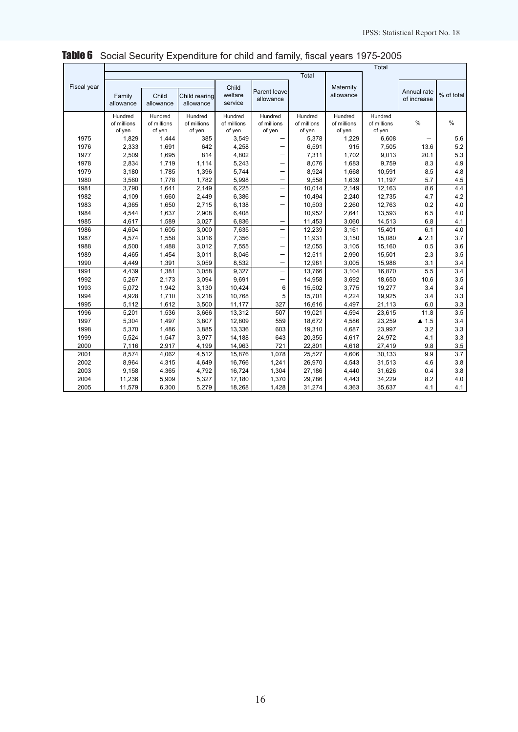|             | Total                            |                                  |                                  |                                  |                                  |                                  |                                  |                                  |                            |                  |  |
|-------------|----------------------------------|----------------------------------|----------------------------------|----------------------------------|----------------------------------|----------------------------------|----------------------------------|----------------------------------|----------------------------|------------------|--|
|             |                                  |                                  |                                  |                                  |                                  | Total                            |                                  |                                  |                            |                  |  |
| Fiscal year | Family<br>allowance              | Child<br>allowance               | Child rearing<br>allowance       | Child<br>welfare<br>service      | Parent leave<br>allowance        |                                  | Maternity<br>allowance           |                                  | Annual rate<br>of increase | % of total       |  |
|             | Hundred<br>of millions<br>of yen | Hundred<br>of millions<br>of yen | Hundred<br>of millions<br>of yen | Hundred<br>of millions<br>of yen | Hundred<br>of millions<br>of yen | Hundred<br>of millions<br>of yen | Hundred<br>of millions<br>of yen | Hundred<br>of millions<br>of yen | $\frac{0}{0}$              | $\frac{0}{0}$    |  |
| 1975        | 1,829                            | 1,444                            | 385                              | 3,549                            |                                  | 5,378                            | 1,229                            | 6,608                            |                            | 5.6              |  |
| 1976        | 2,333                            | 1,691                            | 642                              | 4,258                            |                                  | 6,591                            | 915                              | 7,505                            | 13.6                       | 5.2              |  |
| 1977        | 2,509                            | 1,695                            | 814                              | 4,802                            |                                  | 7,311                            | 1,702                            | 9,013                            | 20.1                       | 5.3              |  |
| 1978        | 2,834                            | 1,719                            | 1,114                            | 5,243                            |                                  | 8,076                            | 1,683                            | 9,759                            | 8.3                        | 4.9              |  |
| 1979        | 3,180                            | 1,785                            | 1,396                            | 5,744                            | —                                | 8,924                            | 1,668                            | 10,591                           | 8.5                        | 4.8              |  |
| 1980        | 3,560                            | 1,778                            | 1,782                            | 5,998                            | $\qquad \qquad -$                | 9,558                            | 1,639                            | 11,197                           | 5.7                        | 4.5              |  |
| 1981        | 3,790                            | 1,641                            | 2,149                            | 6,225                            |                                  | 10,014                           | 2,149                            | 12,163                           | 8.6                        | 4.4              |  |
| 1982        | 4,109                            | 1,660                            | 2,449                            | 6,386                            | —                                | 10,494                           | 2,240                            | 12,735                           | 4.7                        | 4.2              |  |
| 1983        | 4,365                            | 1,650                            | 2,715                            | 6,138                            | —                                | 10,503                           | 2,260                            | 12,763                           | 0.2                        | 4.0              |  |
| 1984        | 4,544                            | 1,637                            | 2,908                            | 6,408                            | —                                | 10,952                           | 2,641                            | 13,593                           | 6.5                        | 4.0              |  |
| 1985        | 4,617                            | 1,589                            | 3,027                            | 6,836                            | —                                | 11,453                           | 3,060                            | 14,513                           | 6.8                        | 4.1              |  |
| 1986        | 4,604                            | 1,605                            | 3,000                            | 7,635                            |                                  | 12,239                           | 3,161                            | 15,401                           | 6.1                        | 4.0              |  |
| 1987        | 4,574                            | 1,558                            | 3,016                            | 7,356                            | —                                | 11,931                           | 3,150                            | 15,080                           | $\blacktriangle$ 2.1       | 3.7              |  |
| 1988        | 4,500                            | 1,488                            | 3,012                            | 7,555                            | —                                | 12,055                           | 3,105                            | 15,160                           | 0.5                        | 3.6              |  |
| 1989        | 4,465                            | 1,454                            | 3,011                            | 8,046                            | $\qquad \qquad$                  | 12,511                           | 2,990                            | 15,501                           | 2.3                        | 3.5              |  |
| 1990        | 4,449                            | 1,391                            | 3,059                            | 8,532                            | $\qquad \qquad -$                | 12,981                           | 3,005                            | 15,986                           | 3.1                        | 3.4              |  |
| 1991        | 4,439                            | 1,381                            | 3,058                            | 9,327                            | —                                | 13,766                           | 3,104                            | 16,870                           | 5.5                        | $\overline{3.4}$ |  |
| 1992        | 5,267                            | 2,173                            | 3,094                            | 9,691                            | —                                | 14,958                           | 3,692                            | 18,650                           | 10.6                       | 3.5              |  |
| 1993        | 5,072                            | 1,942                            | 3,130                            | 10,424                           | 6                                | 15,502                           | 3,775                            | 19,277                           | 3.4                        | 3.4              |  |
| 1994        | 4,928                            | 1,710                            | 3,218                            | 10,768                           | 5                                | 15,701                           | 4,224                            | 19,925                           | 3.4                        | 3.3              |  |
| 1995        | 5,112                            | 1,612                            | 3,500                            | 11,177                           | 327                              | 16,616                           | 4,497                            | 21,113                           | 6.0                        | 3.3              |  |
| 1996        | 5,201                            | 1,536                            | 3,666                            | 13,312                           | 507                              | 19,021                           | 4,594                            | 23,615                           | 11.8                       | 3.5              |  |
| 1997        | 5,304                            | 1,497                            | 3,807                            | 12,809                           | 559                              | 18,672                           | 4,586                            | 23,259                           | $\blacktriangle$ 1.5       | 3.4              |  |
| 1998        | 5,370                            | 1,486                            | 3,885                            | 13,336                           | 603                              | 19,310                           | 4,687                            | 23,997                           | 3.2                        | 3.3              |  |
| 1999        | 5,524                            | 1,547                            | 3,977                            | 14,188                           | 643                              | 20,355                           | 4,617                            | 24,972                           | 4.1                        | 3.3              |  |
| 2000        | 7,116                            | 2,917                            | 4,199                            | 14,963                           | 721                              | 22,801                           | 4,618                            | 27,419                           | 9.8                        | 3.5              |  |
| 2001        | 8,574                            | 4,062                            | 4,512                            | 15,876                           | 1,078                            | 25,527                           | 4,606                            | 30,133                           | 9.9                        | $\overline{3.7}$ |  |
| 2002        | 8,964                            | 4,315                            | 4,649                            | 16,766                           | 1,241                            | 26,970                           | 4,543                            | 31,513                           | 4.6                        | 3.8              |  |
| 2003        | 9,158                            | 4,365                            | 4,792                            | 16,724                           | 1,304                            | 27,186                           | 4,440                            | 31,626                           | 0.4                        | 3.8              |  |
| 2004        | 11,236                           | 5,909                            | 5,327                            | 17,180                           | 1,370                            | 29,786                           | 4,443                            | 34,229                           | 8.2                        | 4.0              |  |
| 2005        | 11,579                           | 6,300                            | 5,279                            | 18,268                           | 1,428                            | 31,274                           | 4,363                            | 35,637                           | 4.1                        | 4.1              |  |

# Table 6 Social Security Expenditure for child and family, fiscal years 1975-2005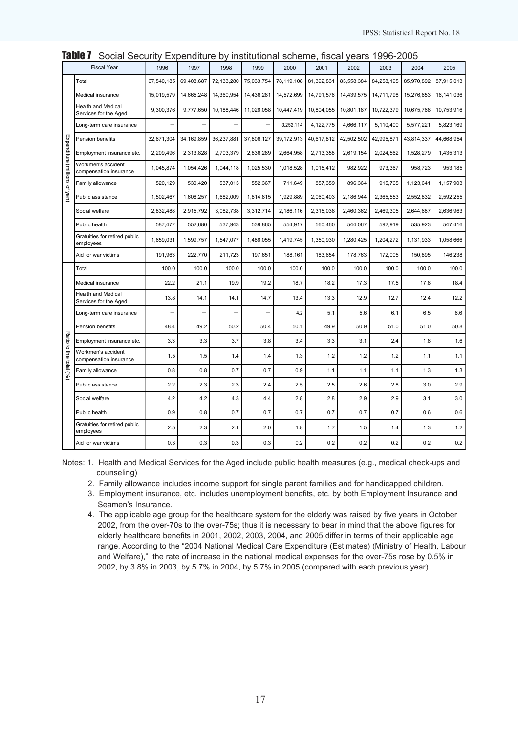|                               | <b>Fiscal Year</b>                                 | 1996                     | 1997       | 1998       | 1999       | 2000       | 2001       | 2002       | 2003       | 2004       | 2005       |
|-------------------------------|----------------------------------------------------|--------------------------|------------|------------|------------|------------|------------|------------|------------|------------|------------|
|                               | Total                                              | 67,540,185               | 69,408,687 | 72,133,280 | 75,033,754 | 78,119,108 | 81,392,831 | 83,558,384 | 84,258,195 | 85,970,892 | 87,915,013 |
|                               | Medical insurance                                  | 15,019,579               | 14,665,248 | 14,360,954 | 14,436,281 | 14,572,699 | 14,791,576 | 14,439,575 | 14,711,798 | 15,276,653 | 16,141,036 |
|                               | <b>Health and Medical</b><br>Services for the Aged | 9,300,376                | 9,777,650  | 10,188,446 | 11,026,058 | 10,447,419 | 10,804,055 | 10,801,187 | 10,722,379 | 10,675,768 | 10,753,916 |
|                               | Long-term care insurance                           | $\overline{\phantom{0}}$ |            |            |            | 3,252,114  | 4,122,775  | 4,666,117  | 5,110,400  | 5,577,221  | 5,823,169  |
|                               | Pension benefits                                   | 32,671,304               | 34,169,859 | 36,237,881 | 37,806,127 | 39,172,913 | 40,617,812 | 42,502,502 | 42,995,871 | 43,814,337 | 44,668,954 |
|                               | Employment insurance etc.                          | 2,209,496                | 2,313,828  | 2,703,379  | 2,836,289  | 2,664,958  | 2,713,358  | 2,619,154  | 2,024,562  | 1,528,279  | 1,435,313  |
| Expenditure (millions of yen) | Workmen's accident<br>compensation insurance       | 1,045,874                | 1,054,426  | 1,044,118  | 1,025,530  | 1,018,528  | 1,015,412  | 982,922    | 973,367    | 958,723    | 953,185    |
|                               | Family allowance                                   | 520,129                  | 530,420    | 537,013    | 552,367    | 711,649    | 857,359    | 896,364    | 915,765    | 1,123,641  | 1,157,903  |
|                               | Public assistance                                  | 1,502,467                | 1,606,257  | 1,682,009  | 1,814,815  | 1,929,889  | 2,060,403  | 2,186,944  | 2,365,553  | 2,552,832  | 2,592,255  |
|                               | Social welfare                                     | 2,832,488                | 2,915,792  | 3,082,738  | 3,312,714  | 2,186,116  | 2,315,038  | 2,460,362  | 2,469,305  | 2.644.687  | 2,636,963  |
|                               | Public health                                      | 587,477                  | 552,680    | 537,943    | 539,865    | 554,917    | 560,460    | 544,067    | 592,919    | 535,923    | 547,416    |
|                               | Gratuities for retired public<br>employees         | 1,659,031                | 1,599,757  | 1,547,077  | 1,486,055  | 1,419,745  | 1,350,930  | 1,280,425  | 1,204,272  | 1,131,933  | 1.058.666  |
|                               | Aid for war victims                                | 191,963                  | 222,770    | 211,723    | 197,651    | 188,161    | 183,654    | 178,763    | 172,005    | 150,895    | 146,238    |
|                               | Total                                              | 100.0                    | 100.0      | 100.0      | 100.0      | 100.0      | 100.0      | 100.0      | 100.0      | 100.0      | 100.0      |
|                               | Medical insurance                                  | 22.2                     | 21.1       | 19.9       | 19.2       | 18.7       | 18.2       | 17.3       | 17.5       | 17.8       | 18.4       |
|                               | <b>Health and Medical</b><br>Services for the Aged | 13.8                     | 14.1       | 14.1       | 14.7       | 13.4       | 13.3       | 12.9       | 12.7       | 12.4       | 12.2       |
|                               | Long-term care insurance                           | L,                       | L.         |            |            | 4.2        | 5.1        | 5.6        | 6.1        | 6.5        | 6.6        |
|                               | Pension benefits                                   | 48.4                     | 49.2       | 50.2       | 50.4       | 50.1       | 49.9       | 50.9       | 51.0       | 51.0       | 50.8       |
| Ratio                         | Employment insurance etc.                          | 3.3                      | 3.3        | 3.7        | 3.8        | 3.4        | 3.3        | 3.1        | 2.4        | 1.8        | 1.6        |
| to the total (%)              | Workmen's accident<br>compensation insurance       | 1.5                      | 1.5        | 1.4        | 1.4        | 1.3        | 1.2        | 1.2        | 1.2        | 1.1        | 1.1        |
|                               | Family allowance                                   | 0.8                      | 0.8        | 0.7        | 0.7        | 0.9        | 1.1        | 1.1        | 1.1        | 1.3        | 1.3        |
|                               | Public assistance                                  | 2.2                      | 2.3        | 2.3        | 2.4        | 2.5        | 2.5        | 2.6        | 2.8        | 3.0        | 2.9        |
|                               | Social welfare                                     | 4.2                      | 4.2        | 4.3        | 4.4        | 2.8        | 2.8        | 2.9        | 2.9        | 3.1        | 3.0        |
|                               | Public health                                      | 0.9                      | 0.8        | 0.7        | 0.7        | 0.7        | 0.7        | 0.7        | 0.7        | 0.6        | 0.6        |
|                               | Gratuities for retired public<br>employees         | 2.5                      | 2.3        | 2.1        | 2.0        | 1.8        | 1.7        | 1.5        | 1.4        | 1.3        | 1.2        |
|                               | Aid for war victims                                | 0.3                      | 0.3        | 0.3        | 0.3        | 0.2        | 0.2        | 0.2        | 0.2        | 0.2        | 0.2        |

Table 7 Social Security Expenditure by institutional scheme, fiscal years 1996-2005

Notes: 1. Health and Medical Services for the Aged include public health measures (e.g., medical check-ups and counseling)

2. Family allowance includes income support for single parent families and for handicapped children.

3. Employment insurance, etc. includes unemployment benefits, etc. by both Employment Insurance and Seamen's Insurance.

4. The applicable age group for the healthcare system for the elderly was raised by five years in October 2002, from the over-70s to the over-75s; thus it is necessary to bear in mind that the above figures for elderly healthcare benefits in 2001, 2002, 2003, 2004, and 2005 differ in terms of their applicable age range. According to the "2004 National Medical Care Expenditure (Estimates) (Ministry of Health, Labour and Welfare)," the rate of increase in the national medical expenses for the over-75s rose by 0.5% in 2002, by 3.8% in 2003, by 5.7% in 2004, by 5.7% in 2005 (compared with each previous year).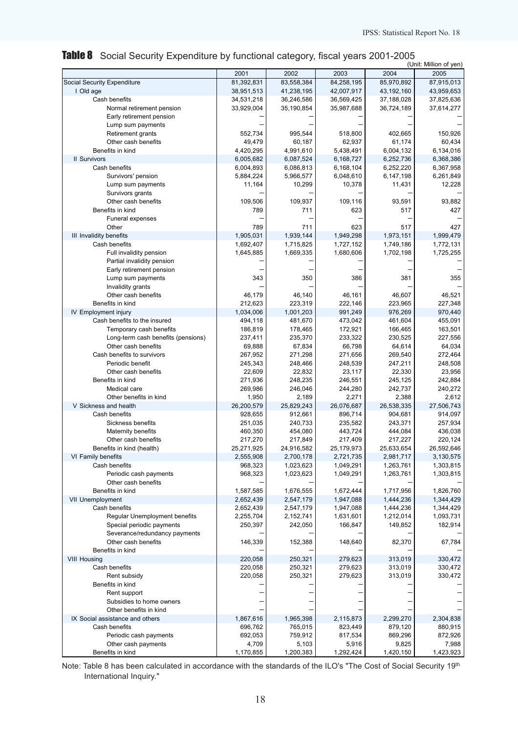|  | Table 8 Social Security Expenditure by functional category, fiscal years 2001-2005 |  |
|--|------------------------------------------------------------------------------------|--|
|  |                                                                                    |  |

|                                         |                  |                  |            |            | (Unit: Million of yen) |
|-----------------------------------------|------------------|------------------|------------|------------|------------------------|
|                                         | 2001             | 2002             | 2003       | 2004       | 2005                   |
| Social Security Expenditure             | 81,392,831       | 83,558,384       | 84,258,195 | 85,970,892 | 87,915,013             |
| I Old age                               | 38,951,513       | 41,238,195       | 42,007,917 | 43,192,160 | 43,959,653             |
| Cash benefits                           | 34,531,218       | 36,246,586       | 36,569,425 | 37,188,028 | 37,825,636             |
| Normal retirement pension               | 33,929,004       | 35,190,854       | 35,987,688 | 36,724,189 | 37,614,277             |
| Early retirement pension                |                  |                  |            |            |                        |
| Lump sum payments                       |                  |                  |            |            |                        |
| Retirement grants                       | 552,734          | 995,544          | 518,800    | 402,665    | 150,926                |
| Other cash benefits                     | 49,479           | 60,187           | 62,937     | 61,174     | 60,434                 |
| Benefits in kind                        | 4,420,295        | 4,991,610        | 5,438,491  | 6,004,132  | 6,134,016              |
| <b>II Survivors</b>                     | 6,005,682        | 6,087,524        | 6,168,727  | 6,252,736  | 6,368,386              |
| Cash benefits                           | 6,004,893        | 6,086,813        | 6,168,104  | 6,252,220  | 6,367,958              |
| Survivors' pension                      | 5,884,224        | 5,966,577        | 6,048,610  | 6,147,198  | 6,261,849              |
| Lump sum payments                       | 11,164           | 10,299           | 10,378     | 11,431     | 12,228                 |
| Survivors grants                        |                  |                  |            |            |                        |
| Other cash benefits                     | 109,506          | 109,937          | 109,116    | 93,591     | 93,882                 |
| Benefits in kind                        | 789              | 711              | 623        | 517        | 427                    |
| Funeral expenses                        |                  |                  |            |            |                        |
| Other                                   | 789              | 711              | 623        | 517        | 427                    |
| III Invalidity benefits                 | 1,905,031        | 1,939,144        | 1,949,298  | 1,973,151  | 1,999,479              |
| Cash benefits                           | 1,692,407        | 1,715,825        | 1,727,152  | 1,749,186  | 1,772,131              |
| Full invalidity pension                 | 1,645,885        | 1,669,335        | 1,680,606  | 1,702,198  | 1,725,255              |
| Partial invalidity pension              |                  |                  |            |            |                        |
| Early retirement pension                |                  |                  |            |            |                        |
| Lump sum payments                       | 343              | 350              | 386        | 381        | 355                    |
| Invalidity grants                       |                  |                  |            |            |                        |
| Other cash benefits                     | 46,179           | 46,140           | 46,161     | 46,607     | 46,521                 |
| Benefits in kind                        | 212,623          | 223,319          | 222,146    | 223,965    | 227,348                |
| IV Employment injury                    | 1,034,006        | 1,001,203        | 991,249    | 976,269    | 970,440                |
| Cash benefits to the insured            | 494,118          | 481,670          | 473,042    | 461,604    | 455,091                |
| Temporary cash benefits                 | 186,819          | 178,465          | 172,921    | 166,465    | 163,501                |
| Long-term cash benefits (pensions)      | 237,411          | 235,370          | 233,322    | 230,525    | 227,556                |
| Other cash benefits                     | 69,888           | 67,834           | 66,798     | 64,614     | 64,034                 |
| Cash benefits to survivors              | 267,952          | 271,298          | 271,656    | 269,540    | 272,464                |
| Periodic benefit                        | 245,343          | 248,466          | 248,539    | 247,211    | 248,508                |
| Other cash benefits                     | 22,609           | 22,832           | 23,117     | 22,330     | 23,956                 |
| Benefits in kind                        | 271,936          | 248,235          | 246,551    | 245,125    | 242,884                |
| Medical care                            | 269,986          | 246,046          | 244,280    | 242,737    | 240,272                |
| Other benefits in kind                  | 1,950            | 2,189            | 2,271      | 2,388      | 2,612                  |
| V Sickness and health                   | 26,200,579       | 25,829,243       | 26,076,687 | 26,538,335 | 27,506,743             |
| Cash benefits                           | 928,655          | 912,661          | 896,714    | 904,681    | 914,097                |
| Sickness benefits                       | 251,035          | 240,733          | 235,582    | 243,371    | 257,934                |
| Maternity benefits                      | 460,350          | 454,080          | 443,724    | 444,084    | 436,038                |
| Other cash benefits                     | 217,270          | 217,849          | 217,409    | 217,227    | 220,124                |
| Benefits in kind (health)               | 25,271,925       | 24,916,582       | 25,179,973 | 25,633,654 | 26,592,646             |
| VI Family benefits                      | 2,555,908        | 2,700,178        | 2,721,735  | 2,981,717  | 3,130,575              |
| Cash benefits                           | 968,323          | 1,023,623        | 1,049,291  | 1,263,761  | 1,303,815              |
| Periodic cash payments                  | 968,323          | 1,023,623        | 1,049,291  | 1,263,761  | 1,303,815              |
| Other cash benefits<br>Benefits in kind |                  |                  |            |            |                        |
|                                         | 1,587,585        | 1,676,555        | 1,672,444  | 1,717,956  | 1,826,760              |
| VII Unemployment                        | 2,652,439        | 2,547,179        | 1,947,088  | 1,444,236  | 1,344,429              |
| Cash benefits                           | 2,652,439        | 2,547,179        | 1,947,088  | 1,444,236  | 1,344,429              |
| Regular Unemployment benefits           | 2,255,704        | 2,152,741        | 1,631,601  | 1,212,014  | 1,093,731              |
| Special periodic payments               | 250.397          | 242,050          | 166,847    | 149,852    | 182,914                |
| Severance/redundancy payments           |                  |                  |            |            |                        |
| Other cash benefits                     | 146,339          | 152,388          | 148,640    | 82,370     | 67,784                 |
| Benefits in kind                        |                  |                  |            |            |                        |
| <b>VIII Housing</b>                     | 220,058          | 250,321          | 279,623    | 313,019    | 330,472                |
| Cash benefits                           | 220,058          | 250,321          | 279,623    | 313,019    | 330,472                |
| Rent subsidy                            | 220,058          | 250,321          | 279,623    | 313,019    | 330,472                |
| Benefits in kind                        |                  |                  |            |            |                        |
| Rent support                            |                  |                  |            |            |                        |
| Subsidies to home owners                |                  |                  |            |            |                        |
| Other benefits in kind                  |                  |                  |            |            |                        |
| IX Social assistance and others         | 1,867,616        | 1,965,398        | 2,115,873  | 2,299,270  | 2,304,838              |
| Cash benefits                           | 696,762          | 765,015          | 823,449    | 879,120    | 880,915                |
| Periodic cash payments                  | 692,053<br>4,709 | 759,912<br>5,103 | 817,534    | 869,296    | 872,926<br>7,988       |
| Other cash payments                     |                  |                  | 5,916      | 9,825      |                        |
| Benefits in kind                        | 1,170,855        | 1,200,383        | 1,292,424  | 1,420,150  | 1,423,923              |

Note: Table 8 has been calculated in accordance with the standards of the ILO's "The Cost of Social Security 19th International Inquiry."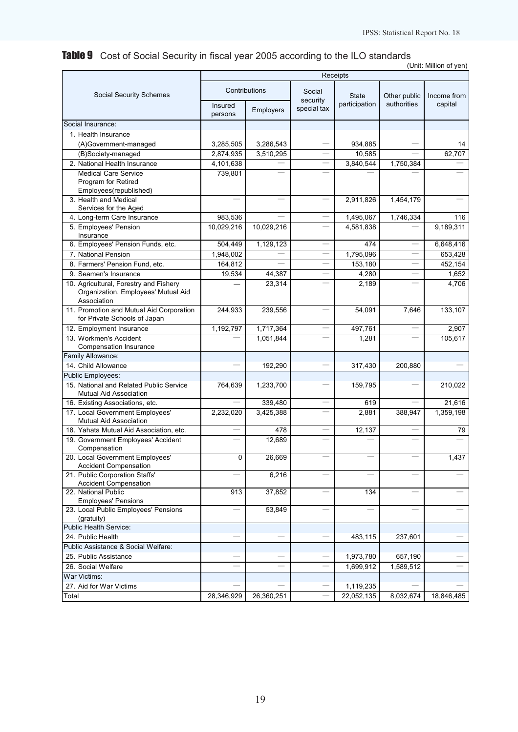# Table 9 Cost of Social Security in fiscal year 2005 according to the ILO standards

|                                                                          |                          |                          |                          |                         |              | (Unit: Million of yen) |
|--------------------------------------------------------------------------|--------------------------|--------------------------|--------------------------|-------------------------|--------------|------------------------|
|                                                                          |                          |                          |                          | Receipts                |              |                        |
| Social Security Schemes                                                  |                          | Contributions            | Social                   | <b>State</b>            | Other public | Income from            |
|                                                                          | Insured<br>persons       | Employers                | security<br>special tax  | participation           | authorities  | capital                |
| Social Insurance:                                                        |                          |                          |                          |                         |              |                        |
| 1. Health Insurance                                                      |                          |                          |                          |                         |              |                        |
| (A)Government-managed                                                    | 3,285,505                | 3,286,543                |                          | 934,885                 |              | 14                     |
| (B)Society-managed                                                       | 2,874,935                | 3,510,295                |                          | 10,585                  |              | 62,707                 |
| 2. National Health Insurance                                             | 4,101,638                |                          |                          | 3,840,544               | 1,750,384    |                        |
| <b>Medical Care Service</b>                                              | 739,801                  | <u>e a</u>               |                          |                         |              |                        |
| Program for Retired<br>Employees(republished)                            |                          |                          |                          |                         |              |                        |
| 3. Health and Medical                                                    | $\overline{\phantom{a}}$ | $\overline{\phantom{0}}$ | $\equiv$                 | 2,911,826               | 1,454,179    |                        |
| Services for the Aged                                                    |                          |                          |                          |                         |              |                        |
| 4. Long-term Care Insurance                                              | 983,536                  |                          |                          | 1,495,067               | 1,746,334    | 116                    |
| 5. Employees' Pension<br>Insurance                                       | 10,029,216               | 10,029,216               |                          | 4,581,838               |              | 9,189,311              |
| 6. Employees' Pension Funds, etc.                                        | 504,449                  | 1,129,123                |                          | 474                     |              | 6,648,416              |
| 7. National Pension                                                      | 1,948,002                |                          |                          | 1,795,096               |              | 653,428                |
| 8. Farmers' Pension Fund. etc.                                           | 164,812                  | $\overline{\phantom{0}}$ | $=$                      | 153,180                 | —<br>—       | 452,154                |
| 9. Seamen's Insurance                                                    | 19,534                   | 44,387                   |                          | 4,280                   |              | 1,652                  |
| 10. Agricultural, Forestry and Fishery                                   |                          | 23,314                   |                          | 2,189                   |              | 4,706                  |
| Organization, Employees' Mutual Aid<br>Association                       |                          |                          |                          |                         |              |                        |
| 11. Promotion and Mutual Aid Corporation<br>for Private Schools of Japan | 244,933                  | 239,556                  |                          | 54,091                  | 7,646        | 133,107                |
| 12. Employment Insurance                                                 | 1,192,797                | 1,717,364                |                          | 497,761                 |              | 2,907                  |
| 13. Workmen's Accident                                                   |                          | 1,051,844                |                          | 1,281                   |              | 105,617                |
| Compensation Insurance<br>Family Allowance:                              |                          |                          |                          |                         |              |                        |
| 14. Child Allowance                                                      |                          | 192,290                  |                          |                         | 200,880      |                        |
| Public Employees:                                                        |                          |                          |                          | 317,430                 |              |                        |
| 15. National and Related Public Service                                  | 764,639                  | 1,233,700                |                          | 159,795                 |              | 210,022                |
| <b>Mutual Aid Association</b>                                            |                          |                          |                          |                         |              |                        |
| 16. Existing Associations, etc.                                          |                          | 339,480                  |                          | 619                     |              | 21,616                 |
| 17. Local Government Employees'                                          | 2,232,020                | 3,425,388                |                          | 2,881                   | 388,947      | 1,359,198              |
| Mutual Aid Association                                                   |                          |                          |                          |                         |              |                        |
| 18. Yahata Mutual Aid Association, etc.                                  |                          | 478                      |                          | 12,137                  |              | 79                     |
| 19. Government Employees' Accident<br>Compensation                       |                          | 12,689                   |                          |                         |              |                        |
| 20. Local Government Employees'<br><b>Accident Compensation</b>          | 0                        | 26,669                   |                          |                         |              | 1,437                  |
| 21. Public Corporation Staffs'<br>Accident Compensation                  |                          | 6,216                    |                          |                         |              |                        |
| 22. National Public<br><b>Employees' Pensions</b>                        | 913                      | 37,852                   | $\overline{\phantom{a}}$ | 134                     |              |                        |
| 23. Local Public Employees' Pensions                                     |                          | 53,849                   |                          |                         |              |                        |
| (gratuity)                                                               |                          |                          |                          |                         |              |                        |
| Public Health Service:                                                   |                          |                          |                          |                         |              |                        |
| 24. Public Health                                                        |                          |                          |                          | 483,115                 | 237,601      |                        |
| Public Assistance & Social Welfare:                                      |                          |                          |                          |                         |              |                        |
| 25. Public Assistance                                                    |                          |                          |                          | 1,973,780               | 657,190      |                        |
| 26. Social Welfare                                                       |                          |                          |                          | 1,699,912               | 1,589,512    |                        |
| War Victims:<br>27. Aid for War Victims                                  |                          |                          |                          |                         |              |                        |
| Total                                                                    | 28,346,929               | 26,360,251               |                          | 1,119,235<br>22,052,135 | 8,032,674    | 18,846,485             |
|                                                                          |                          |                          |                          |                         |              |                        |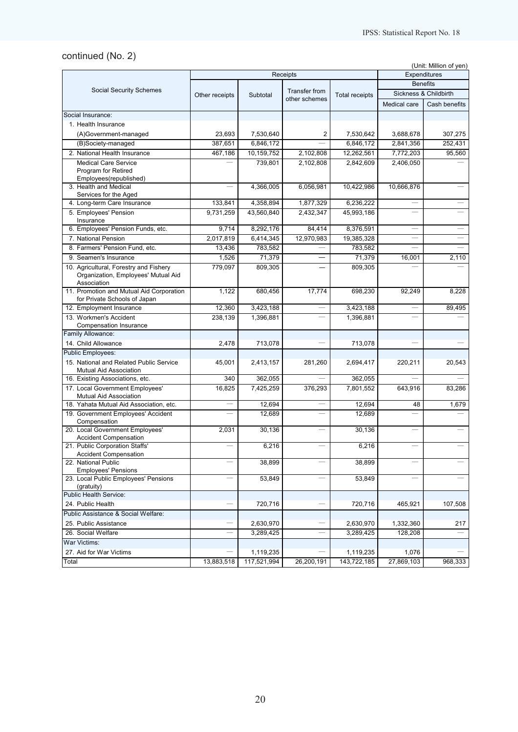# continued (No. 2)

(Unit: Million of yen)

|                                                                     |                |             | <b>Receipts</b> |                       | Expenditures             |                       |  |
|---------------------------------------------------------------------|----------------|-------------|-----------------|-----------------------|--------------------------|-----------------------|--|
|                                                                     |                |             |                 |                       |                          | <b>Benefits</b>       |  |
| <b>Social Security Schemes</b>                                      | Other receipts | Subtotal    | Transfer from   | <b>Total receipts</b> |                          | Sickness & Childbirth |  |
|                                                                     |                |             | other schemes   |                       | Medical care             | Cash benefits         |  |
| Social Insurance:                                                   |                |             |                 |                       |                          |                       |  |
| 1. Health Insurance                                                 |                |             |                 |                       |                          |                       |  |
| (A)Government-managed                                               | 23.693         | 7,530,640   | 2               | 7,530,642             | 3,688,678                | 307,275               |  |
| (B)Society-managed                                                  | 387,651        | 6,846,172   |                 | 6,846,172             | 2,841,356                | 252,431               |  |
| 2. National Health Insurance                                        | 467,186        | 10,159,752  | 2,102,808       | 12,262,561            | 7,772,203                | 95,560                |  |
| <b>Medical Care Service</b>                                         |                | 739,801     | 2,102,808       | 2,842,609             | 2,406,050                |                       |  |
| Program for Retired                                                 |                |             |                 |                       |                          |                       |  |
| Employees(republished)                                              |                |             |                 |                       |                          |                       |  |
| 3. Health and Medical                                               |                | 4,366,005   | 6,056,981       | 10,422,986            | 10,666,876               |                       |  |
| Services for the Aged                                               |                |             |                 |                       |                          |                       |  |
| 4. Long-term Care Insurance                                         | 133,841        | 4,358,894   | 1,877,329       | 6,236,222             |                          |                       |  |
| 5. Employees' Pension<br>Insurance                                  | 9,731,259      | 43,560,840  | 2,432,347       | 45,993,186            |                          |                       |  |
| 6. Employees' Pension Funds, etc.                                   | 9,714          | 8,292,176   | 84,414          | 8,376,591             | $\overline{\phantom{0}}$ |                       |  |
| 7. National Pension                                                 | 2,017,819      | 6,414,345   | 12,970,983      | 19,385,328            |                          |                       |  |
| 8. Farmers' Pension Fund, etc.                                      | 13,436         | 783,582     |                 | 783,582               |                          |                       |  |
| 9. Seamen's Insurance                                               | 1,526          | 71,379      |                 | 71,379                | 16,001                   | 2,110                 |  |
| 10. Agricultural, Forestry and Fishery                              | 779,097        | 809,305     |                 | 809,305               |                          |                       |  |
| Organization, Employees' Mutual Aid                                 |                |             |                 |                       |                          |                       |  |
| Association                                                         |                |             |                 |                       |                          |                       |  |
| 11. Promotion and Mutual Aid Corporation                            | 1,122          | 680,456     | 17,774          | 698,230               | 92,249                   | 8,228                 |  |
| for Private Schools of Japan                                        |                |             |                 |                       |                          |                       |  |
| 12. Employment Insurance                                            | 12,360         | 3,423,188   |                 | 3,423,188             |                          | 89,495                |  |
| 13. Workmen's Accident                                              | 238,139        | 1,396,881   |                 | 1,396,881             |                          |                       |  |
| Compensation Insurance<br>Family Allowance:                         |                |             |                 |                       |                          |                       |  |
| 14. Child Allowance                                                 | 2,478          | 713,078     |                 | 713,078               |                          |                       |  |
|                                                                     |                |             |                 |                       |                          |                       |  |
| <b>Public Employees:</b><br>15. National and Related Public Service | 45,001         | 2,413,157   | 281,260         |                       |                          | 20,543                |  |
| Mutual Aid Association                                              |                |             |                 | 2,694,417             | 220,211                  |                       |  |
| 16. Existing Associations, etc.                                     | 340            | 362,055     |                 | 362,055               |                          |                       |  |
| 17. Local Government Employees'                                     | 16,825         | 7,425,259   | 376,293         | 7,801,552             | 643,916                  | 83,286                |  |
| Mutual Aid Association                                              |                |             |                 |                       |                          |                       |  |
| 18. Yahata Mutual Aid Association, etc.                             |                | 12,694      |                 | 12,694                | 48                       | 1,679                 |  |
| 19. Government Employees' Accident                                  |                | 12.689      |                 | 12,689                |                          |                       |  |
| Compensation                                                        |                |             |                 |                       |                          |                       |  |
| 20. Local Government Employees'<br><b>Accident Compensation</b>     | 2,031          | 30,136      |                 | 30,136                |                          |                       |  |
| 21. Public Corporation Staffs'                                      |                | 6,216       |                 | 6,216                 |                          |                       |  |
| <b>Accident Compensation</b>                                        |                |             |                 |                       |                          |                       |  |
| 22. National Public                                                 |                | 38,899      |                 | 38,899                |                          |                       |  |
| <b>Employees' Pensions</b>                                          |                |             |                 |                       |                          |                       |  |
| 23. Local Public Employees' Pensions<br>(gratuity)                  |                | 53,849      |                 | 53,849                |                          |                       |  |
| Public Health Service:                                              |                |             |                 |                       |                          |                       |  |
| 24. Public Health                                                   |                | 720,716     |                 | 720,716               | 465,921                  | 107,508               |  |
| Public Assistance & Social Welfare:                                 |                |             |                 |                       |                          |                       |  |
| 25. Public Assistance                                               |                | 2,630,970   |                 | 2,630,970             | 1,332,360                | 217                   |  |
| 26. Social Welfare                                                  |                | 3,289,425   |                 | 3,289,425             | 128,208                  |                       |  |
| War Victims:                                                        |                |             |                 |                       |                          |                       |  |
| 27. Aid for War Victims                                             |                | 1,119,235   |                 | 1,119,235             | 1,076                    |                       |  |
| Total                                                               | 13,883,518     | 117,521,994 | 26,200,191      | 143,722,185           | 27,869,103               | 968,333               |  |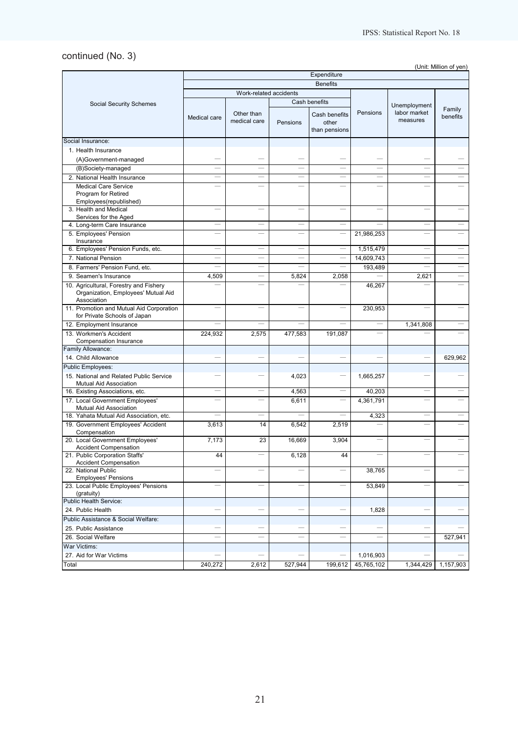# continued (No. 3)

(Unit: Million of yen)

|                                                                                              | Expenditure  |                            |          |                                         |                          |                          |                    |  |
|----------------------------------------------------------------------------------------------|--------------|----------------------------|----------|-----------------------------------------|--------------------------|--------------------------|--------------------|--|
|                                                                                              |              |                            |          | <b>Benefits</b>                         |                          |                          |                    |  |
|                                                                                              |              | Work-related accidents     |          |                                         |                          |                          |                    |  |
| <b>Social Security Schemes</b>                                                               |              |                            |          | Cash benefits                           |                          | Unemployment             |                    |  |
|                                                                                              | Medical care | Other than<br>medical care | Pensions | Cash benefits<br>other<br>than pensions | Pensions                 | labor market<br>measures | Family<br>benefits |  |
| Social Insurance:                                                                            |              |                            |          |                                         |                          |                          |                    |  |
| 1. Health Insurance                                                                          |              |                            |          |                                         |                          |                          |                    |  |
| (A)Government-managed                                                                        |              |                            |          |                                         |                          |                          |                    |  |
| (B)Society-managed                                                                           |              |                            |          |                                         |                          |                          |                    |  |
| 2. National Health Insurance                                                                 | a.           | and the                    |          | $\equiv$                                | $\equiv$                 |                          |                    |  |
| <b>Medical Care Service</b>                                                                  |              |                            |          |                                         |                          |                          |                    |  |
| Program for Retired                                                                          |              |                            |          |                                         |                          |                          |                    |  |
| Employees(republished)                                                                       |              |                            |          |                                         |                          |                          |                    |  |
| 3. Health and Medical<br>Services for the Aged                                               |              |                            |          |                                         |                          |                          |                    |  |
| 4. Long-term Care Insurance                                                                  |              |                            |          |                                         |                          |                          |                    |  |
| 5. Employees' Pension                                                                        |              |                            |          |                                         | 21,986,253               |                          |                    |  |
| Insurance                                                                                    |              |                            |          |                                         |                          |                          |                    |  |
| 6. Employees' Pension Funds, etc.                                                            |              |                            |          |                                         | 1,515,479                |                          |                    |  |
| 7. National Pension                                                                          |              |                            |          |                                         | 14,609,743               |                          |                    |  |
| 8. Farmers' Pension Fund, etc.                                                               |              |                            |          |                                         | 193,489                  |                          |                    |  |
| 9. Seamen's Insurance                                                                        | 4,509        |                            | 5,824    | 2,058                                   |                          | 2,621                    |                    |  |
| 10. Agricultural, Forestry and Fishery<br>Organization, Employees' Mutual Aid<br>Association |              |                            |          |                                         | 46,267                   |                          |                    |  |
| 11. Promotion and Mutual Aid Corporation<br>for Private Schools of Japan                     | <u>in d</u>  |                            |          |                                         | 230,953                  |                          |                    |  |
| 12. Employment Insurance                                                                     |              |                            |          |                                         |                          | 1,341,808                |                    |  |
| 13. Workmen's Accident<br>Compensation Insurance                                             | 224,932      | 2,575                      | 477,583  | 191,087                                 |                          |                          |                    |  |
| Family Allowance:                                                                            |              |                            |          |                                         |                          |                          |                    |  |
| 14. Child Allowance                                                                          |              |                            |          |                                         |                          |                          | 629,962            |  |
| <b>Public Employees:</b>                                                                     |              |                            |          |                                         |                          |                          |                    |  |
| 15. National and Related Public Service<br>Mutual Aid Association                            |              |                            | 4,023    |                                         | 1,665,257                |                          |                    |  |
| 16. Existing Associations, etc.                                                              | ÷,           | ÷.                         | 4,563    | $\equiv$                                | 40,203                   |                          |                    |  |
| 17. Local Government Employees'<br>Mutual Aid Association                                    |              |                            | 6,611    |                                         | 4,361,791                |                          |                    |  |
| 18. Yahata Mutual Aid Association, etc.                                                      |              |                            |          |                                         | 4,323                    |                          |                    |  |
| 19. Government Employees' Accident<br>Compensation                                           | 3,613        | 14                         | 6,542    | 2,519                                   |                          |                          |                    |  |
|                                                                                              |              |                            |          |                                         |                          |                          |                    |  |
| 20. Local Government Employees'<br><b>Accident Compensation</b>                              | 7,173        | 23                         | 16,669   | 3,904                                   | $\overline{\phantom{0}}$ |                          |                    |  |
| 21. Public Corporation Staffs'<br><b>Accident Compensation</b>                               | 44           |                            | 6,128    | 44                                      |                          |                          |                    |  |
| 22. National Public<br><b>Employees' Pensions</b>                                            |              |                            |          |                                         | 38,765                   |                          |                    |  |
| 23. Local Public Employees' Pensions<br>(gratuity)                                           |              |                            |          |                                         | 53,849                   |                          |                    |  |
| Public Health Service:                                                                       |              |                            |          |                                         |                          |                          |                    |  |
| 24. Public Health                                                                            |              |                            |          |                                         | 1,828                    |                          |                    |  |
| Public Assistance & Social Welfare:                                                          |              |                            |          |                                         |                          |                          |                    |  |
| 25. Public Assistance                                                                        |              |                            |          |                                         |                          |                          |                    |  |
| 26. Social Welfare                                                                           |              |                            |          |                                         |                          |                          | 527,941            |  |
| War Victims:                                                                                 |              |                            |          |                                         |                          |                          |                    |  |
| 27. Aid for War Victims                                                                      |              |                            |          |                                         | 1,016,903                |                          |                    |  |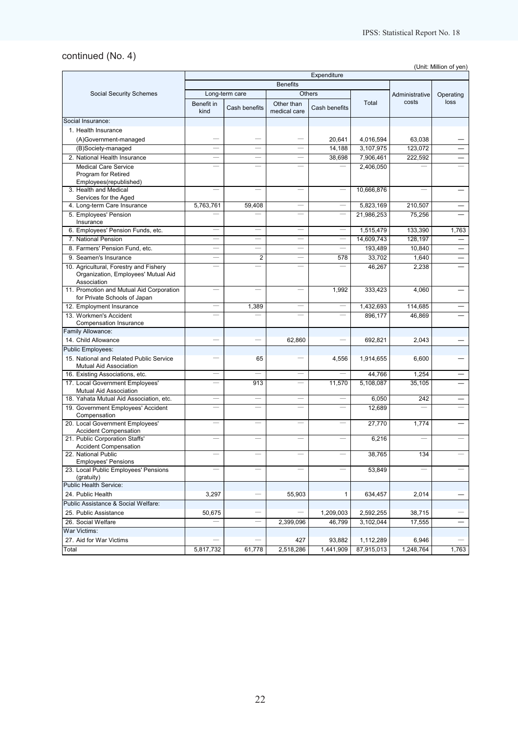# continued (No. 4)

(Unit: Million of yen)

|                                                                                              | Expenditure        |                          |                            |                          |            |                          |                          |
|----------------------------------------------------------------------------------------------|--------------------|--------------------------|----------------------------|--------------------------|------------|--------------------------|--------------------------|
|                                                                                              |                    |                          | <b>Benefits</b>            |                          |            |                          |                          |
| <b>Social Security Schemes</b>                                                               |                    | Long-term care           |                            | <b>Others</b>            |            | Administrative           | Operating                |
|                                                                                              | Benefit in<br>kind | Cash benefits            | Other than<br>medical care | Cash benefits            | Total      | costs                    | loss                     |
| Social Insurance:                                                                            |                    |                          |                            |                          |            |                          |                          |
| 1. Health Insurance                                                                          |                    |                          |                            |                          |            |                          |                          |
| (A)Government-managed                                                                        |                    |                          |                            | 20,641                   | 4,016,594  | 63,038                   |                          |
| (B)Society-managed                                                                           |                    |                          |                            | 14,188                   | 3,107,975  | 123,072                  |                          |
| 2. National Health Insurance                                                                 |                    | $\overline{\phantom{0}}$ |                            | 38,698                   | 7,906,461  | 222,592                  |                          |
| <b>Medical Care Service</b>                                                                  |                    |                          |                            |                          | 2,406,050  |                          |                          |
| Program for Retired                                                                          |                    |                          |                            |                          |            |                          |                          |
| Employees(republished)                                                                       |                    |                          |                            |                          |            |                          |                          |
| 3. Health and Medical                                                                        |                    | $\overline{\phantom{0}}$ | $\overline{\phantom{a}}$   | $\equiv$                 | 10,666,876 | $\overline{\phantom{0}}$ |                          |
| Services for the Aged                                                                        |                    |                          |                            |                          |            |                          |                          |
| 4. Long-term Care Insurance                                                                  | 5,763,761          | 59,408                   | $\sim$                     |                          | 5,823,169  | 210,507                  |                          |
| 5. Employees' Pension<br>Insurance                                                           |                    |                          |                            |                          | 21,986,253 | 75,256                   |                          |
| 6. Employees' Pension Funds, etc.                                                            |                    |                          |                            |                          | 1,515,479  | 133,390                  | 1,763                    |
| 7. National Pension                                                                          |                    |                          |                            |                          | 14,609,743 | 128,197                  |                          |
| 8. Farmers' Pension Fund, etc.                                                               |                    |                          |                            |                          | 193,489    | 10,840                   |                          |
| 9. Seamen's Insurance                                                                        |                    | $\overline{2}$           |                            | 578                      | 33,702     | 1,640                    |                          |
| 10. Agricultural, Forestry and Fishery<br>Organization, Employees' Mutual Aid<br>Association |                    | $\equiv$                 |                            | $\overline{\phantom{0}}$ | 46,267     | 2,238                    |                          |
| 11. Promotion and Mutual Aid Corporation<br>for Private Schools of Japan                     |                    |                          |                            | 1,992                    | 333,423    | 4,060                    |                          |
| 12. Employment Insurance                                                                     |                    | 1,389                    |                            |                          | 1,432,693  | 114,685                  |                          |
| 13. Workmen's Accident<br>Compensation Insurance                                             |                    |                          |                            |                          | 896,177    | 46,869                   |                          |
| Family Allowance:                                                                            |                    |                          |                            |                          |            |                          |                          |
| 14. Child Allowance                                                                          |                    |                          | 62,860                     |                          | 692,821    | 2,043                    |                          |
| Public Employees:                                                                            |                    |                          |                            |                          |            |                          |                          |
| 15. National and Related Public Service<br>Mutual Aid Association                            |                    | 65                       |                            | 4,556                    | 1,914,655  | 6,600                    |                          |
| 16. Existing Associations, etc.                                                              |                    | $\overline{\phantom{a}}$ | $\overline{\phantom{0}}$   | $\overline{\phantom{0}}$ | 44,766     | 1,254                    |                          |
| 17. Local Government Employees'<br>Mutual Aid Association                                    |                    | 913                      |                            | 11,570                   | 5,108,087  | 35,105                   |                          |
| 18. Yahata Mutual Aid Association, etc.                                                      |                    |                          |                            |                          | 6,050      | 242                      |                          |
| 19. Government Employees' Accident<br>Compensation                                           |                    |                          |                            |                          | 12,689     |                          |                          |
| 20. Local Government Employees'<br><b>Accident Compensation</b>                              |                    |                          |                            |                          | 27,770     | 1,774                    |                          |
| 21. Public Corporation Staffs'<br><b>Accident Compensation</b>                               |                    |                          |                            |                          | 6,216      |                          |                          |
| 22. National Public<br>Employees' Pensions                                                   |                    |                          |                            |                          | 38.765     | 134                      |                          |
| 23. Local Public Employees' Pensions<br>(gratuity)                                           |                    |                          |                            |                          | 53,849     |                          |                          |
| Public Health Service:                                                                       |                    |                          |                            |                          |            |                          |                          |
| 24. Public Health                                                                            | 3,297              |                          | 55,903                     | 1                        | 634,457    | 2,014                    |                          |
| Public Assistance & Social Welfare:                                                          |                    |                          |                            |                          |            |                          |                          |
| 25. Public Assistance                                                                        | 50,675             |                          |                            | 1,209,003                | 2,592,255  | 38,715                   |                          |
| 26. Social Welfare                                                                           |                    |                          | 2,399,096                  | 46,799                   | 3,102,044  | 17,555                   | $\overline{\phantom{0}}$ |
| War Victims:                                                                                 |                    |                          |                            |                          |            |                          |                          |
| 27. Aid for War Victims                                                                      |                    |                          | 427                        | 93,882                   | 1,112,289  | 6,946                    |                          |
| Total                                                                                        | 5,817,732          | 61,778                   | 2,518,286                  | 1,441,909                | 87,915,013 | 1,248,764                | 1,763                    |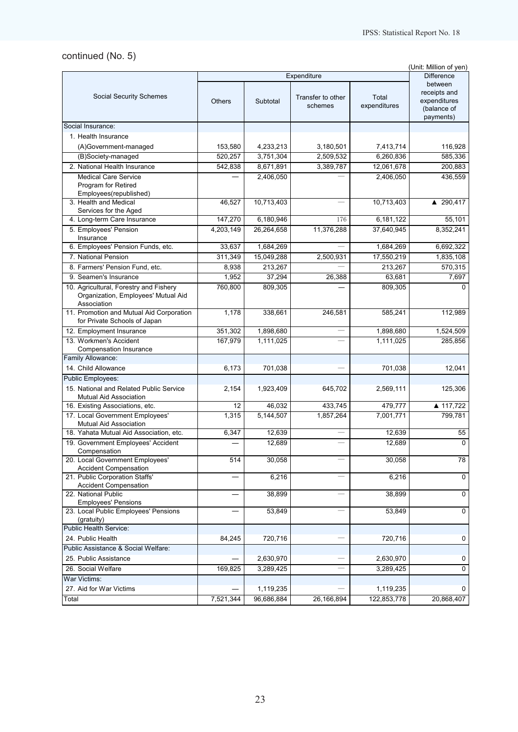# continued (No. 5)

|                                                                   |               |                   |                          |              | (Unit: Million of yen)  |
|-------------------------------------------------------------------|---------------|-------------------|--------------------------|--------------|-------------------------|
|                                                                   |               | <b>Difference</b> |                          |              |                         |
|                                                                   |               |                   |                          |              | between<br>receipts and |
| <b>Social Security Schemes</b>                                    | <b>Others</b> | Subtotal          | Transfer to other        | Total        | expenditures            |
|                                                                   |               |                   | schemes                  | expenditures | (balance of             |
|                                                                   |               |                   |                          |              | payments)               |
| Social Insurance:                                                 |               |                   |                          |              |                         |
| 1. Health Insurance                                               |               |                   |                          |              |                         |
| (A)Government-managed                                             | 153,580       | 4,233,213         | 3,180,501                | 7,413,714    | 116,928                 |
| (B)Society-managed                                                | 520,257       | 3,751,304         | 2,509,532                | 6,260,836    | 585,336                 |
| 2. National Health Insurance                                      | 542,838       | 8,671,891         | 3,389,787                | 12,061,678   | 200,883                 |
| <b>Medical Care Service</b>                                       |               | 2,406,050         |                          | 2,406,050    | 436,559                 |
| Program for Retired                                               |               |                   |                          |              |                         |
| Employees(republished)                                            |               |                   |                          |              |                         |
| 3. Health and Medical<br>Services for the Aged                    | 46,527        | 10,713,403        |                          | 10,713,403   | ▲ 290,417               |
| 4. Long-term Care Insurance                                       | 147,270       | 6,180,946         | 176                      | 6,181,122    | 55,101                  |
| 5. Employees' Pension                                             | 4,203,149     | 26,264,658        | 11,376,288               | 37,640,945   | 8,352,241               |
| Insurance                                                         |               |                   |                          |              |                         |
| 6. Employees' Pension Funds, etc.                                 | 33,637        | 1,684,269         |                          | 1,684,269    | 6,692,322               |
| 7. National Pension                                               | 311,349       | 15,049,288        | 2,500,931                | 17,550,219   | 1,835,108               |
| 8. Farmers' Pension Fund, etc.                                    | 8,938         | 213,267           |                          | 213,267      | 570,315                 |
| 9. Seamen's Insurance                                             | 1,952         | 37,294            | 26,388                   | 63,681       | 7,697                   |
| 10. Agricultural, Forestry and Fishery                            | 760,800       | 809,305           |                          | 809,305      | $\Omega$                |
| Organization, Employees' Mutual Aid                               |               |                   |                          |              |                         |
| Association<br>11. Promotion and Mutual Aid Corporation           | 1,178         |                   | 246.581                  | 585,241      |                         |
| for Private Schools of Japan                                      |               | 338,661           |                          |              | 112,989                 |
| 12. Employment Insurance                                          | 351,302       | 1,898,680         |                          | 1,898,680    | 1,524,509               |
| 13. Workmen's Accident                                            | 167,979       | 1,111,025         |                          | 1,111,025    | 285,856                 |
| Compensation Insurance                                            |               |                   |                          |              |                         |
| Family Allowance:                                                 |               |                   |                          |              |                         |
| 14. Child Allowance                                               | 6,173         | 701,038           |                          | 701,038      | 12,041                  |
| <b>Public Employees:</b>                                          |               |                   |                          |              |                         |
| 15. National and Related Public Service                           | 2,154         | 1,923,409         | 645,702                  | 2,569,111    | 125,306                 |
| Mutual Aid Association                                            |               |                   |                          |              |                         |
| 16. Existing Associations, etc.                                   | 12            | 46,032            | 433,745                  | 479,777      | ▲ 117,722               |
| 17. Local Government Employees'                                   | 1,315         | 5,144,507         | 1,857,264                | 7,001,771    | 799,781                 |
| Mutual Aid Association<br>18. Yahata Mutual Aid Association, etc. | 6,347         | 12,639            |                          | 12,639       | 55                      |
| 19. Government Employees' Accident                                |               | 12,689            |                          | 12,689       | $\Omega$                |
| Compensation                                                      |               |                   |                          |              |                         |
| 20. Local Government Employees'                                   | 514           | 30,058            |                          | 30,058       | 78                      |
| <b>Accident Compensation</b>                                      |               |                   |                          |              |                         |
| 21. Public Corporation Staffs'                                    |               | 6,216             |                          | 6,216        | $\mathbf 0$             |
| <b>Accident Compensation</b><br>22. National Public               |               |                   |                          |              | $\mathbf 0$             |
| <b>Employees' Pensions</b>                                        |               | 38,899            |                          | 38,899       |                         |
| 23. Local Public Employees' Pensions                              |               | 53,849            | $\overline{\phantom{0}}$ | 53,849       | $\overline{0}$          |
| (gratuity)                                                        |               |                   |                          |              |                         |
| Public Health Service:                                            |               |                   |                          |              |                         |
| 24. Public Health                                                 | 84,245        | 720,716           |                          | 720,716      | 0                       |
| Public Assistance & Social Welfare:                               |               |                   |                          |              |                         |
| 25. Public Assistance                                             |               | 2,630,970         |                          | 2,630,970    | 0                       |
| 26. Social Welfare                                                | 169,825       | 3,289,425         |                          | 3,289,425    | $\mathsf 0$             |
| War Victims:                                                      |               |                   |                          |              |                         |
| 27. Aid for War Victims                                           |               | 1,119,235         |                          | 1,119,235    | 0                       |
| Total                                                             | 7,521,344     | 96,686,884        | 26,166,894               | 122,853,778  | 20,868,407              |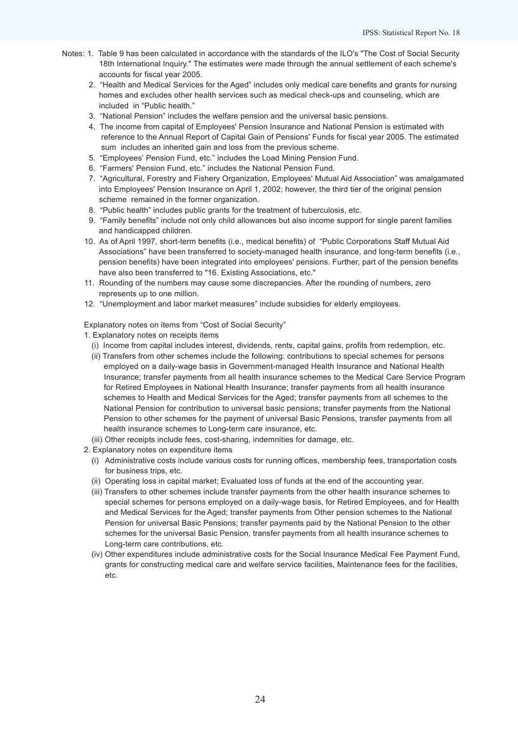- Notes: 1. Table 9 has been calculated in accordance with the standards of the ILO's "The Cost of Social Security 18th International Inquiry." The estimates were made through the annual settlement of each scheme's accounts for fiscal year 2005.
	- 2. "Health and Medical Services for the Aged" includes only medical care benefits and grants for nursing homes and excludes other health services such as medical check-ups and counseling, which are included in "Public health."
	- 3. "National Pension" includes the welfare pension and the universal basic pensions.
	- 4. The income from capital of Employees' Pension Insurance and National Pension is estimated with reference to the Annual Report of Capital Gain of Pensions' Funds for fiscal year 2005. The estimated sum includes an inherited gain and loss from the previous scheme.
	- 5. "Employees' Pension Fund, etc." includes the Load Mining Pension Fund.
	- 6. "Farmers' Pension Fund, etc." includes the National Pension Fund.
	- 7. "Agricultural, Forestry and Fishery Organization, Employees' Mutual Aid Association" was amalgamated into Employees' Pension Insurance on April 1, 2002; however, the third tier of the original pension scheme remained in the former organization.
	- 8. "Public health" includes public grants for the treatment of tuberculosis, etc.
	- 9. "Family benefits" include not only child allowances but also income support for single parent families and handicapped children.
	- 10. As of April 1997, short-term benefits (i.e., medical benefits) of "Public Corporations Staff Mutual Aid Associations" have been transferred to society-managed health insurance, and long-term benefits (i.e., pension benefits) have been integrated into employees' pensions. Further, part of the pension benefits have also been transferred to "16. Existing Associations, etc."
	- 11. Rounding of the numbers may cause some discrepancies. After the rounding of numbers, zero represents up to one million.
	- 12. "Unemployment and labor market measures" include subsidies for elderly employees.

Explanatory notes on items from "Cost of Social Security"

- 1. Explanatory notes on receipts items
	- (i) Income from capital includes interest, dividends, rents, capital gains, profits from redemption, etc.
	- (ii) Transfers from other schemes include the following: contributions to special schemes for persons employed on a daily-wage basis in Government-managed Health Insurance and National Health Insurance; transfer payments from all health insurance schemes to the Medical Care Service Program for Retired Employees in National Health Insurance; transfer payments from all health insurance schemes to Health and Medical Services for the Aged; transfer payments from all schemes to the National Pension for contribution to universal basic pensions; transfer payments from the National Pension to other schemes for the payment of universal Basic Pensions, transfer payments from all health insurance schemes to Long-term care insurance, etc.
	- (iii) Other receipts include fees, cost-sharing, indemnities for damage, etc.
- 2. Explanatory notes on expenditure items
	- (i) Administrative costs include various costs for running offices, membership fees, transportation costs for business trips, etc.
	- (ii) Operating loss in capital market; Evaluated loss of funds at the end of the accounting year.
	- (iii) Transfers to other schemes include transfer payments from the other health insurance schemes to special schemes for persons employed on a daily-wage basis, for Retired Employees, and for Health and Medical Services for the Aged; transfer payments from Other pension schemes to the National Pension for universal Basic Pensions; transfer payments paid by the National Pension to the other schemes for the universal Basic Pension, transfer payments from all health insurance schemes to Long-term care contributions, etc.
	- (iv) Other expenditures include administrative costs for the Social Insurance Medical Fee Payment Fund, grants for constructing medical care and welfare service facilities, Maintenance fees for the facilities, etc.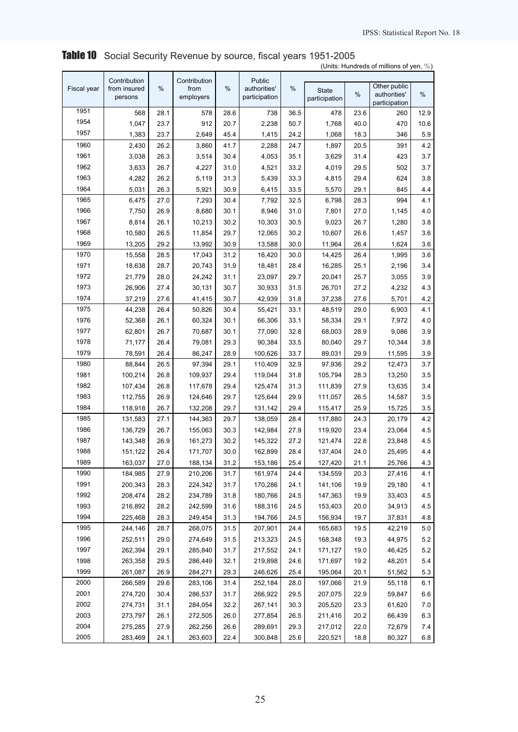|             | (Units: Hundreds of millions of yen, $\%$ ) |      |                                   |      |                                         |               |                        |      |                                               |      |
|-------------|---------------------------------------------|------|-----------------------------------|------|-----------------------------------------|---------------|------------------------|------|-----------------------------------------------|------|
| Fiscal year | Contribution<br>from insured<br>persons     | %    | Contribution<br>from<br>employers | %    | Public<br>authorities'<br>participation | $\frac{0}{0}$ | State<br>participation | %    | Other public<br>authorities'<br>participation | $\%$ |
| 1951        | 568                                         | 28.1 | 578                               | 28.6 | 738                                     | 36.5          | 478                    | 23.6 | 260                                           | 12.9 |
| 1954        | 1,047                                       | 23.7 | 912                               | 20.7 | 2,238                                   | 50.7          | 1,768                  | 40.0 | 470                                           | 10.6 |
| 1957        | 1,383                                       | 23.7 | 2,649                             | 45.4 | 1,415                                   | 24.2          | 1,068                  | 18.3 | 346                                           | 5.9  |
| 1960        | 2,430                                       | 26.2 | 3,860                             | 41.7 | 2,288                                   | 24.7          | 1,897                  | 20.5 | 391                                           | 4.2  |
| 1961        | 3,038                                       | 26.3 | 3,514                             | 30.4 | 4,053                                   | 35.1          | 3,629                  | 31.4 | 423                                           | 3.7  |
| 1962        | 3,633                                       | 26.7 | 4,227                             | 31.0 | 4,521                                   | 33.2          | 4,019                  | 29.5 | 502                                           | 3.7  |
| 1963        | 4,282                                       | 26.2 | 5,119                             | 31.3 | 5,439                                   | 33.3          | 4,815                  | 29.4 | 624                                           | 3.8  |
| 1964        | 5,031                                       | 26.3 | 5,921                             | 30.9 | 6,415                                   | 33.5          | 5,570                  | 29.1 | 845                                           | 4.4  |
| 1965        | 6,475                                       | 27.0 | 7,293                             | 30.4 | 7,792                                   | 32.5          | 6,798                  | 28.3 | 994                                           | 4.1  |
| 1966        | 7,750                                       | 26.9 | 8,680                             | 30.1 | 8,946                                   | 31.0          | 7,801                  | 27.0 | 1,145                                         | 4.0  |
| 1967        | 8,814                                       | 26.1 | 10,213                            | 30.2 | 10,303                                  | 30.5          | 9,023                  | 26.7 | 1,280                                         | 3.8  |
| 1968        | 10,580                                      | 26.5 | 11,854                            | 29.7 | 12,065                                  | 30.2          | 10,607                 | 26.6 | 1,457                                         | 3.6  |
| 1969        | 13,205                                      | 29.2 | 13,992                            | 30.9 | 13,588                                  | 30.0          | 11,964                 | 26.4 | 1,624                                         | 3.6  |
| 1970        | 15,558                                      | 28.5 | 17,043                            | 31.2 | 16,420                                  | 30.0          | 14,425                 | 26.4 | 1,995                                         | 3.6  |
| 1971        | 18,638                                      | 28.7 | 20,743                            | 31.9 | 18,481                                  | 28.4          | 16,285                 | 25.1 | 2,196                                         | 3.4  |
| 1972        | 21,779                                      | 28.0 | 24,242                            | 31.1 | 23,097                                  | 29.7          | 20,041                 | 25.7 | 3,055                                         | 3.9  |
| 1973        | 26,906                                      | 27.4 | 30,131                            | 30.7 | 30,933                                  | 31.5          | 26,701                 | 27.2 | 4,232                                         | 4.3  |
| 1974        | 37,219                                      | 27.6 | 41,415                            | 30.7 | 42,939                                  | 31.8          | 37,238                 | 27.6 | 5,701                                         | 4.2  |
| 1975        | 44,238                                      | 26.4 | 50,826                            | 30.4 | 55,421                                  | 33.1          | 48,519                 | 29.0 | 6,903                                         | 4.1  |
| 1976        | 52,368                                      | 26.1 | 60,324                            | 30.1 | 66,306                                  | 33.1          | 58,334                 | 29.1 | 7,972                                         | 4.0  |
| 1977        | 62,801                                      | 26.7 | 70,687                            | 30.1 | 77,090                                  | 32.8          | 68,003                 | 28.9 | 9,086                                         | 3.9  |
| 1978        | 71,177                                      | 26.4 | 79,081                            | 29.3 | 90,384                                  | 33.5          | 80,040                 | 29.7 | 10,344                                        | 3.8  |
| 1979        | 78,591                                      | 26.4 | 86,247                            | 28.9 | 100,626                                 | 33.7          | 89,031                 | 29.9 | 11,595                                        | 3.9  |
| 1980        | 88,844                                      | 26.5 | 97,394                            | 29.1 | 110,409                                 | 32.9          | 97,936                 | 29.2 | 12,473                                        | 3.7  |
| 1981        | 100,214                                     | 26.8 | 109,937                           | 29.4 | 119,044                                 | 31.8          | 105,794                | 28.3 | 13,250                                        | 3.5  |
| 1982        | 107,434                                     | 26.8 | 117,678                           | 29.4 | 125,474                                 | 31.3          | 111,839                | 27.9 | 13,635                                        | 3.4  |
| 1983        | 112,755                                     | 26.9 | 124,646                           | 29.7 | 125,644                                 | 29.9          | 111,057                | 26.5 | 14,587                                        | 3.5  |
| 1984        | 118,918                                     | 26.7 | 132,208                           | 29.7 | 131,142                                 | 29.4          | 115,417                | 25.9 | 15,725                                        | 3.5  |
| 1985        | 131,583                                     | 27.1 | 144,363                           | 29.7 | 138,059                                 | 28.4          | 117,880                | 24.3 | 20,179                                        | 4.2  |
| 1986        | 136,729                                     | 26.7 | 155,063                           | 30.3 | 142,984                                 | 27.9          | 119,920                | 23.4 | 23,064                                        | 4.5  |
| 1987        | 143,348                                     | 26.9 | 161,273                           | 30.2 | 145,322                                 | 27.2          | 121,474                | 22.8 | 23,848                                        | 4.5  |
| 1988        | 151,122                                     | 26.4 | 171,707                           | 30.0 | 162,899                                 | 28.4          | 137,404                | 24.0 | 25,495                                        | 4.4  |
| 1989        | 163,037                                     | 27.0 | 188,134                           | 31.2 | 153,186                                 | 25.4          | 127,420                | 21.1 | 25,766                                        | 4.3  |
| 1990        | 184,985                                     | 27.9 | 210,206                           | 31.7 | 161,974                                 | 24.4          | 134,559                | 20.3 | 27,416                                        | 4.1  |
| 1991        | 200,343                                     | 28.3 | 224,342                           | 31.7 | 170,286                                 | 24.1          | 141,106                | 19.9 | 29,180                                        | 4.1  |
| 1992        | 208,474                                     | 28.2 | 234,789                           | 31.8 | 180,766                                 | 24.5          | 147,363                | 19.9 | 33,403                                        | 4.5  |
| 1993        | 216,892                                     | 28.2 | 242,599                           | 31.6 | 188,316                                 | 24.5          | 153,403                | 20.0 | 34,913                                        | 4.5  |
| 1994        | 225,468                                     | 28.3 | 249,454                           | 31.3 | 194,766                                 | 24.5          | 156,934                | 19.7 | 37,831                                        | 4.8  |
| 1995        | 244,146                                     | 28.7 | 268,075                           | 31.5 | 207,901                                 | 24.4          | 165,683                | 19.5 | 42,219                                        | 5.0  |
| 1996        | 252,511                                     | 29.0 | 274,649                           | 31.5 | 213,323                                 | 24.5          | 168,348                | 19.3 | 44,975                                        | 5.2  |
| 1997        | 262,394                                     | 29.1 | 285,840                           | 31.7 | 217,552                                 | 24.1          | 171,127                | 19.0 | 46,425                                        | 5.2  |
| 1998        | 263,358                                     | 29.5 | 286,449                           | 32.1 | 219,898                                 | 24.6          | 171,697                | 19.2 | 48,201                                        | 5.4  |
| 1999        | 261,087                                     | 26.9 | 284,271                           | 29.3 | 246,626                                 | 25.4          | 195,064                | 20.1 | 51,562                                        | 5.3  |
| 2000        | 266,589                                     | 29.6 | 283,106                           | 31.4 | 252,184                                 | 28.0          | 197,066                | 21.9 | 55,118                                        | 6.1  |
| 2001        | 274,720                                     | 30.4 | 286,537                           | 31.7 | 266,922                                 | 29.5          | 207,075                | 22.9 | 59,847                                        | 6.6  |
| 2002        | 274,731                                     | 31.1 | 284,054                           | 32.2 | 267,141                                 | 30.3          | 205,520                | 23.3 | 61,620                                        | 7.0  |
| 2003        | 273,797                                     | 26.1 | 272,505                           | 26.0 | 277,854                                 | 26.5          | 211,416                | 20.2 | 66,439                                        | 6.3  |
| 2004        | 275,285                                     | 27.9 | 262,256                           | 26.6 | 289,691                                 | 29.3          | 217,012                | 22.0 | 72,679                                        | 7.4  |
| 2005        | 283,469                                     | 24.1 | 263,603                           | 22.4 | 300,848                                 | 25.6          | 220,521                | 18.8 | 80,327                                        | 6.8  |

Table 10 Social Security Revenue by source, fiscal years 1951-2005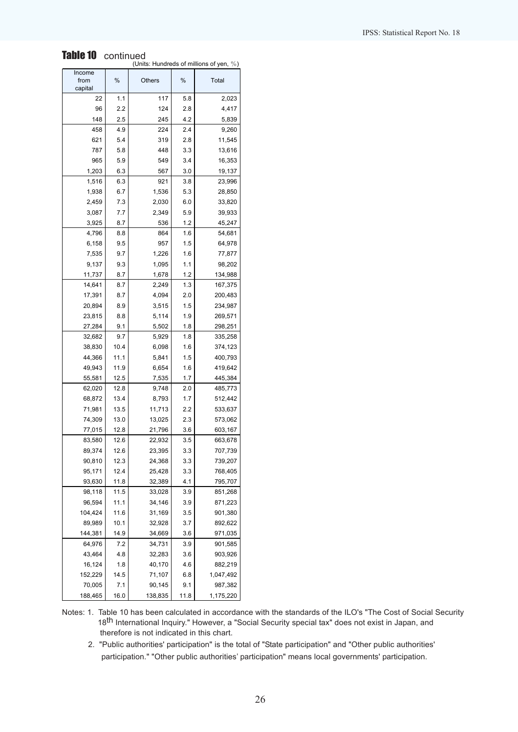| Table 10<br>continued<br>(Units: Hundreds of millions of yen, %) |             |                |            |                    |  |  |  |  |
|------------------------------------------------------------------|-------------|----------------|------------|--------------------|--|--|--|--|
| Income                                                           |             |                |            |                    |  |  |  |  |
| from<br>capital                                                  | %           | <b>Others</b>  | %          | Total              |  |  |  |  |
| 22                                                               | 1.1         | 117            | 5.8        | 2,023              |  |  |  |  |
| 96                                                               | 2.2         | 124            | 2.8        | 4,417              |  |  |  |  |
| 148                                                              | 2.5         | 245            | 4.2        | 5,839              |  |  |  |  |
| 458                                                              | 4.9         | 224            | 2.4        | 9,260              |  |  |  |  |
| 621                                                              | 5.4         | 319            | 2.8        | 11,545             |  |  |  |  |
| 787                                                              | 5.8         | 448            | 3.3        | 13,616             |  |  |  |  |
| 965                                                              | 5.9         | 549            | 3.4        | 16,353             |  |  |  |  |
| 1,203                                                            | 6.3         | 567            | 3.0        | 19,137             |  |  |  |  |
| 1,516                                                            | 6.3         | 921            | 3.8        | 23,996             |  |  |  |  |
| 1,938                                                            | 6.7         | 1,536          | 5.3        | 28,850             |  |  |  |  |
| 2,459                                                            | 7.3         | 2,030          | 6.0        | 33,820             |  |  |  |  |
| 3,087                                                            | 7.7         | 2,349          | 5.9        | 39,933             |  |  |  |  |
| 3,925                                                            | 8.7         | 536            | 1.2        | 45,247             |  |  |  |  |
| 4,796                                                            | 8.8         | 864            | 1.6        | 54,681             |  |  |  |  |
| 6,158                                                            | 9.5         | 957            | 1.5        | 64,978             |  |  |  |  |
| 7,535                                                            | 9.7         | 1,226          | 1.6        | 77,877             |  |  |  |  |
| 9,137                                                            | 9.3         | 1,095          | 1.1        | 98,202             |  |  |  |  |
| 11,737                                                           | 8.7         | 1,678          | 1.2        | 134,988            |  |  |  |  |
| 14,641                                                           | 8.7         | 2,249          | 1.3        | 167,375            |  |  |  |  |
| 17,391                                                           | 8.7         | 4,094          | 2.0        | 200,483            |  |  |  |  |
| 20,894                                                           | 8.9         | 3,515          | 1.5        | 234,987            |  |  |  |  |
|                                                                  |             | 5,114          |            |                    |  |  |  |  |
| 23,815<br>27,284                                                 | 8.8<br>9.1  | 5,502          | 1.9<br>1.8 | 269,571<br>298,251 |  |  |  |  |
|                                                                  |             |                | 1.8        |                    |  |  |  |  |
| 32,682<br>38,830                                                 | 9.7<br>10.4 | 5,929<br>6,098 | 1.6        | 335,258<br>374,123 |  |  |  |  |
| 44,366                                                           | 11.1        | 5,841          | 1.5        | 400,793            |  |  |  |  |
| 49,943                                                           | 11.9        | 6,654          | 1.6        | 419,642            |  |  |  |  |
|                                                                  |             |                |            |                    |  |  |  |  |
| 55,581                                                           | 12.5        | 7,535          | 1.7        | 445,384            |  |  |  |  |
| 62,020                                                           | 12.8        | 9,748          | 2.0        | 485,773            |  |  |  |  |
| 68,872                                                           | 13.4        | 8,793          | 1.7        | 512,442            |  |  |  |  |
| 71,981                                                           | 13.5        | 11,713         | 2.2        | 533,637            |  |  |  |  |
| 74,309                                                           | 13.0        | 13,025         | 2.3        | 573,062            |  |  |  |  |
| 77,015                                                           | 12.8        | 21,796         | 3.6        | 603,167            |  |  |  |  |
| 83,580                                                           | 12.6        | 22,932         | 3.5        | 663,678            |  |  |  |  |
| 89,374                                                           | 12.6        | 23,395         | 3.3        | 707,739            |  |  |  |  |
| 90,810                                                           | 12.3        | 24,368         | 3.3        | 739,207            |  |  |  |  |
| 95,171                                                           | 12.4        | 25,428         | 3.3        | 768,405            |  |  |  |  |
| 93,630                                                           | 11.8        | 32,389         | 4.1        | 795,707            |  |  |  |  |
| 98,118                                                           | 11.5        | 33,028         | 3.9        | 851,268            |  |  |  |  |
| 96,594                                                           | 11.1        | 34,146         | 3.9        | 871,223            |  |  |  |  |
| 104,424                                                          | 11.6        | 31,169         | 3.5        | 901,380            |  |  |  |  |
| 89,989                                                           | 10.1        | 32,928         | 3.7        | 892,622            |  |  |  |  |
| 144,381                                                          | 14.9        | 34,669         | 3.6        | 971,035            |  |  |  |  |
| 64,976                                                           | 7.2         | 34,731         | 3.9        | 901,585            |  |  |  |  |
| 43,464                                                           | 4.8         | 32,283         | 3.6        | 903,926            |  |  |  |  |
| 16,124                                                           | 1.8         | 40,170         | 4.6        | 882,219            |  |  |  |  |
| 152,229                                                          | 14.5        | 71,107         | 6.8        | 1,047,492          |  |  |  |  |
| 70,005                                                           | 7.1         | 90,145         | 9.1        | 987,382            |  |  |  |  |
| 188,465                                                          | 16.0        | 138,835        | 11.8       | 1,175,220          |  |  |  |  |

#### IPSS: Statistical Report No. 18

Notes: 1. Table 10 has been calculated in accordance with the standards of the ILO's "The Cost of Social Security 18<sup>th</sup> International Inquiry." However, a "Social Security special tax" does not exist in Japan, and therefore is not indicated in this chart.

 2. "Public authorities' participation" is the total of "State participation" and "Other public authorities' participation." "Other public authorities' participation" means local governments' participation.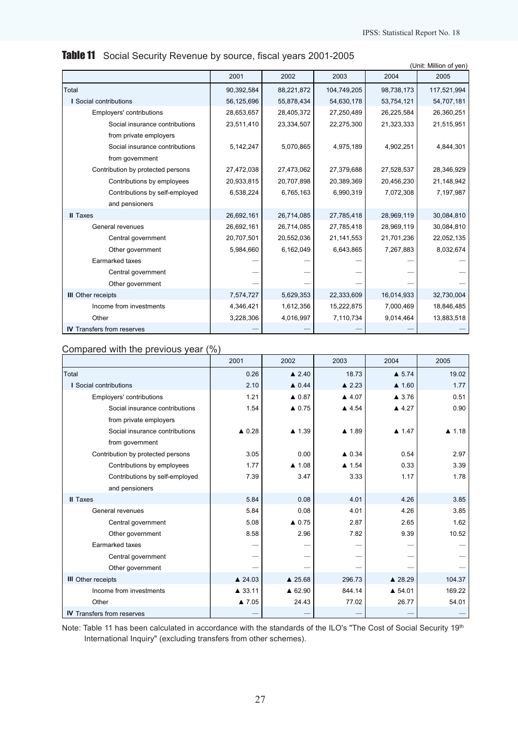|                                   |            |            |             |            | (Unit: Million of yen) |
|-----------------------------------|------------|------------|-------------|------------|------------------------|
|                                   | 2001       | 2002       | 2003        | 2004       | 2005                   |
| Total                             | 90,392,584 | 88,221,872 | 104,749,205 | 98,738,173 | 117,521,994            |
| <b>I</b> Social contributions     | 56,125,696 | 55,878,434 | 54,630,178  | 53,754,121 | 54,707,181             |
| Employers' contributions          | 28,653,657 | 28,405,372 | 27,250,489  | 26,225,584 | 26,360,251             |
| Social insurance contributions    | 23,511,410 | 23,334,507 | 22,275,300  | 21,323,333 | 21,515,951             |
| from private employers            |            |            |             |            |                        |
| Social insurance contributions    | 5,142,247  | 5,070,865  | 4,975,189   | 4,902,251  | 4,844,301              |
| from government                   |            |            |             |            |                        |
| Contribution by protected persons | 27,472,038 | 27,473,062 | 27,379,688  | 27,528,537 | 28,346,929             |
| Contributions by employees        | 20,933,815 | 20,707,898 | 20,389,369  | 20,456,230 | 21,148,942             |
| Contributions by self-employed    | 6,538,224  | 6,765,163  | 6,990,319   | 7,072,308  | 7,197,987              |
| and pensioners                    |            |            |             |            |                        |
| <b>II</b> Taxes                   | 26,692,161 | 26,714,085 | 27,785,418  | 28,969,119 | 30,084,810             |
| General revenues                  | 26,692,161 | 26,714,085 | 27,785,418  | 28,969,119 | 30,084,810             |
| Central government                | 20,707,501 | 20,552,036 | 21,141,553  | 21,701,236 | 22,052,135             |
| Other government                  | 5,984,660  | 6,162,049  | 6,643,865   | 7,267,883  | 8,032,674              |
| Earmarked taxes                   |            |            |             |            |                        |
| Central government                |            |            |             |            |                        |
| Other government                  |            |            |             |            |                        |
| <b>III</b> Other receipts         | 7,574,727  | 5,629,353  | 22,333,609  | 16,014,933 | 32,730,004             |
| Income from investments           | 4,346,421  | 1,612,356  | 15,222,875  | 7,000,469  | 18,846,485             |
| Other                             | 3,228,306  | 4,016,997  | 7,110,734   | 9,014,464  | 13,883,518             |
| <b>IV</b> Transfers from reserves |            |            |             |            |                        |

# Table 11 Social Security Revenue by source, fiscal years 2001-2005

| Compared with the previous year (%) |  |  |  |
|-------------------------------------|--|--|--|
|-------------------------------------|--|--|--|

|                                   | 2001             | 2002                  | 2003             | 2004             | 2005             |
|-----------------------------------|------------------|-----------------------|------------------|------------------|------------------|
| Total                             | 0.26             | $\triangle$ 2.40      | 18.73            | $\triangle$ 5.74 | 19.02            |
| I Social contributions            | 2.10             | $\triangle$ 0.44      | $\triangle$ 2.23 | $\triangle$ 1.60 | 1.77             |
| Employers' contributions          | 1.21             | $\triangle$ 0.87      | $\triangle$ 4.07 | $\triangle$ 3.76 | 0.51             |
| Social insurance contributions    | 1.54             | $\triangle$ 0.75      | ▲ 4.54           | $\triangle$ 4.27 | 0.90             |
| from private employers            |                  |                       |                  |                  |                  |
| Social insurance contributions    | $\triangle$ 0.28 | $\blacktriangle$ 1.39 | ▲ 1.89           | $\triangle$ 1.47 | $\triangle$ 1.18 |
| from government                   |                  |                       |                  |                  |                  |
| Contribution by protected persons | 3.05             | 0.00                  | $\triangle$ 0.34 | 0.54             | 2.97             |
| Contributions by employees        | 1.77             | $\triangle$ 1.08      | $\triangle$ 1.54 | 0.33             | 3.39             |
| Contributions by self-employed    | 7.39             | 3.47                  | 3.33             | 1.17             | 1.78             |
| and pensioners                    |                  |                       |                  |                  |                  |
| <b>II</b> Taxes                   | 5.84             | 0.08                  | 4.01             | 4.26             | 3.85             |
| General revenues                  | 5.84             | 0.08                  | 4.01             | 4.26             | 3.85             |
| Central government                | 5.08             | $\triangle$ 0.75      | 2.87             | 2.65             | 1.62             |
| Other government                  | 8.58             | 2.96                  | 7.82             | 9.39             | 10.52            |
| Earmarked taxes                   |                  |                       |                  |                  |                  |
| Central government                |                  |                       |                  |                  |                  |
| Other government                  |                  |                       |                  |                  |                  |
| <b>III</b> Other receipts         | ▲ 24.03          | ▲ 25.68               | 296.73           | ▲ 28.29          | 104.37           |
| Income from investments           | ▲ 33.11          | ▲ 62.90               | 844.14           | ▲ 54.01          | 169.22           |
| Other                             | ▲ 7.05           | 24.43                 | 77.02            | 26.77            | 54.01            |
| <b>IV</b> Transfers from reserves |                  |                       |                  |                  |                  |

Note: Table 11 has been calculated in accordance with the standards of the ILO's "The Cost of Social Security 19th International Inquiry" (excluding transfers from other schemes).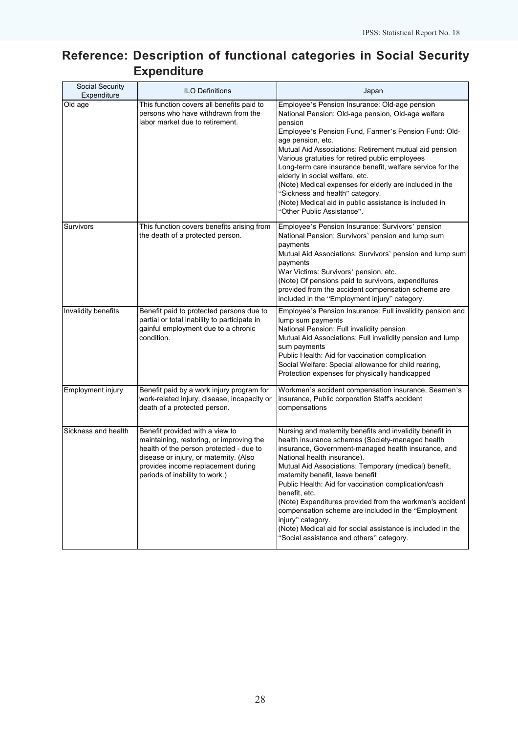# Reference: Description of functional categories in Social Security **Expenditure**

| Social Security<br>Expenditure | <b>ILO Definitions</b>                                                                                                                                                                                                                   | Japan                                                                                                                                                                                                                                                                                                                                                                                                                                                                                                                                                                                                                       |
|--------------------------------|------------------------------------------------------------------------------------------------------------------------------------------------------------------------------------------------------------------------------------------|-----------------------------------------------------------------------------------------------------------------------------------------------------------------------------------------------------------------------------------------------------------------------------------------------------------------------------------------------------------------------------------------------------------------------------------------------------------------------------------------------------------------------------------------------------------------------------------------------------------------------------|
| Old age                        | This function covers all benefits paid to<br>persons who have withdrawn from the<br>labor market due to retirement.                                                                                                                      | Employee's Pension Insurance: Old-age pension<br>National Pension: Old-age pension, Old-age welfare<br>pension<br>Employee's Pension Fund, Farmer's Pension Fund: Old-<br>age pension, etc.<br>Mutual Aid Associations: Retirement mutual aid pension<br>Various gratuities for retired public employees<br>Long-term care insurance benefit, welfare service for the<br>elderly in social welfare, etc.<br>(Note) Medical expenses for elderly are included in the<br>"Sickness and health" category.<br>(Note) Medical aid in public assistance is included in<br>"Other Public Assistance".                              |
| Survivors                      | This function covers benefits arising from<br>the death of a protected person.                                                                                                                                                           | Employee's Pension Insurance: Survivors' pension<br>National Pension: Survivors' pension and lump sum<br>payments<br>Mutual Aid Associations: Survivors' pension and lump sum<br>payments<br>War Victims: Survivors' pension, etc.<br>(Note) Of pensions paid to survivors, expenditures<br>provided from the accident compensation scheme are<br>included in the "Employment injury" category.                                                                                                                                                                                                                             |
| <b>Invalidity benefits</b>     | Benefit paid to protected persons due to<br>partial or total inability to participate in<br>gainful employment due to a chronic<br>condition.                                                                                            | Employee's Pension Insurance: Full invalidity pension and<br>lump sum payments<br>National Pension: Full invalidity pension<br>Mutual Aid Associations: Full invalidity pension and lump<br>sum payments<br>Public Health: Aid for vaccination complication<br>Social Welfare: Special allowance for child rearing,<br>Protection expenses for physically handicapped                                                                                                                                                                                                                                                       |
| Employment injury              | Benefit paid by a work injury program for<br>work-related injury, disease, incapacity or<br>death of a protected person.                                                                                                                 | Workmen's accident compensation insurance, Seamen's<br>insurance, Public corporation Staff's accident<br>compensations                                                                                                                                                                                                                                                                                                                                                                                                                                                                                                      |
| Sickness and health            | Benefit provided with a view to<br>maintaining, restoring, or improving the<br>health of the person protected - due to<br>disease or injury, or maternity. (Also<br>provides income replacement during<br>periods of inability to work.) | Nursing and maternity benefits and invalidity benefit in<br>health insurance schemes (Society-managed health<br>insurance, Government-managed health insurance, and<br>National health insurance).<br>Mutual Aid Associations: Temporary (medical) benefit,<br>maternity benefit, leave benefit<br>Public Health: Aid for vaccination complication/cash<br>benefit, etc.<br>(Note) Expenditures provided from the workmen's accident<br>compensation scheme are included in the "Employment<br>injury" category.<br>(Note) Medical aid for social assistance is included in the<br>"Social assistance and others" category. |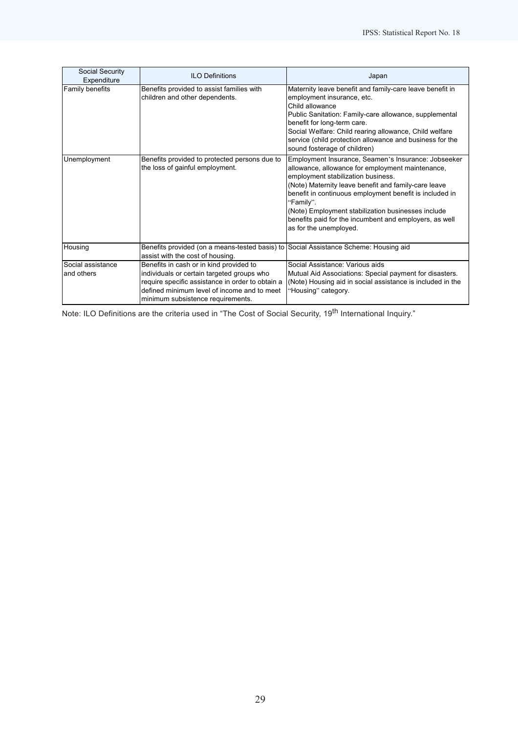| Social Security<br>Expenditure           | <b>ILO Definitions</b>                                                                                                                                                                                                        | Japan                                                                                                                                                                                                                                                                                                                                                                                                                   |
|------------------------------------------|-------------------------------------------------------------------------------------------------------------------------------------------------------------------------------------------------------------------------------|-------------------------------------------------------------------------------------------------------------------------------------------------------------------------------------------------------------------------------------------------------------------------------------------------------------------------------------------------------------------------------------------------------------------------|
| <b>Family benefits</b>                   | Benefits provided to assist families with<br>children and other dependents.                                                                                                                                                   | Maternity leave benefit and family-care leave benefit in<br>employment insurance, etc.<br>Child allowance<br>Public Sanitation: Family-care allowance, supplemental<br>benefit for long-term care.<br>Social Welfare: Child rearing allowance, Child welfare<br>service (child protection allowance and business for the<br>sound fosterage of children)                                                                |
| Unemployment                             | Benefits provided to protected persons due to<br>the loss of gainful employment.                                                                                                                                              | Employment Insurance, Seamen's Insurance: Jobseeker<br>allowance, allowance for employment maintenance,<br>employment stabilization business.<br>(Note) Maternity leave benefit and family-care leave<br>benefit in continuous employment benefit is included in<br>"Family".<br>(Note) Employment stabilization businesses include<br>benefits paid for the incumbent and employers, as well<br>as for the unemployed. |
| Housing                                  | Benefits provided (on a means-tested basis) to Social Assistance Scheme: Housing aid<br>assist with the cost of housing.                                                                                                      |                                                                                                                                                                                                                                                                                                                                                                                                                         |
| <b>I</b> Social assistance<br>and others | Benefits in cash or in kind provided to<br>individuals or certain targeted groups who<br>require specific assistance in order to obtain a<br>defined minimum level of income and to meet<br>minimum subsistence requirements. | Social Assistance: Various aids<br>Mutual Aid Associations: Special payment for disasters.<br>(Note) Housing aid in social assistance is included in the<br>"Housing" category.                                                                                                                                                                                                                                         |

Note: ILO Definitions are the criteria used in "The Cost of Social Security, 19<sup>th</sup> International Inquiry."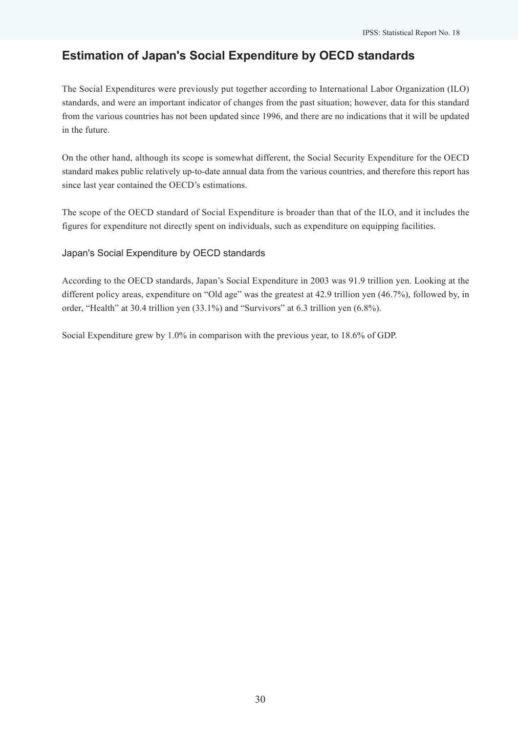## Estimation of Japan's Social Expenditure by OECD standards

The Social Expenditures were previously put together according to International Labor Organization (ILO) standards, and were an important indicator of changes from the past situation; however, data for this standard from the various countries has not been updated since 1996, and there are no indications that it will be updated in the future.

On the other hand, although its scope is somewhat different, the Social Security Expenditure for the OECD standard makes public relatively up-to-date annual data from the various countries, and therefore this report has since last year contained the OECD's estimations.

The scope of the OECD standard of Social Expenditure is broader than that of the ILO, and it includes the figures for expenditure not directly spent on individuals, such as expenditure on equipping facilities.

Japan's Social Expenditure by OECD standards

According to the OECD standards, Japan's Social Expenditure in 2003 was 91.9 trillion yen. Looking at the different policy areas, expenditure on "Old age" was the greatest at 42.9 trillion yen (46.7%), followed by, in order, "Health" at 30.4 trillion yen (33.1%) and "Survivors" at 6.3 trillion yen (6.8%).

Social Expenditure grew by 1.0% in comparison with the previous year, to 18.6% of GDP.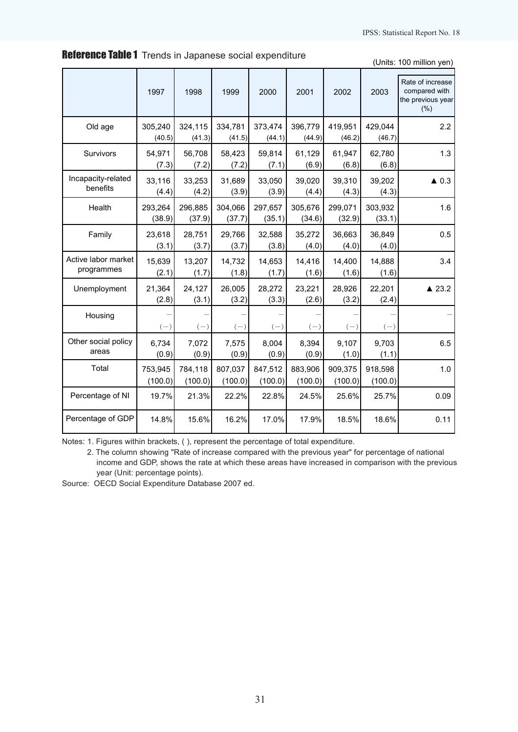|                                   | 1997               | 1998               | 1999               | 2000               | 2001               | 2002               | 2003               | Rate of increase<br>compared with<br>the previous year<br>(% ) |
|-----------------------------------|--------------------|--------------------|--------------------|--------------------|--------------------|--------------------|--------------------|----------------------------------------------------------------|
| Old age                           | 305,240<br>(40.5)  | 324,115<br>(41.3)  | 334,781<br>(41.5)  | 373,474<br>(44.1)  | 396,779<br>(44.9)  | 419,951<br>(46.2)  | 429,044<br>(46.7)  | 2.2                                                            |
| Survivors                         | 54,971<br>(7.3)    | 56,708<br>(7.2)    | 58,423<br>(7.2)    | 59,814<br>(7.1)    | 61,129<br>(6.9)    | 61,947<br>(6.8)    | 62,780<br>(6.8)    | 1.3                                                            |
| Incapacity-related<br>benefits    | 33,116<br>(4.4)    | 33,253<br>(4.2)    | 31,689<br>(3.9)    | 33,050<br>(3.9)    | 39,020<br>(4.4)    | 39,310<br>(4.3)    | 39,202<br>(4.3)    | $\triangle$ 0.3                                                |
| Health                            | 293,264<br>(38.9)  | 296,885<br>(37.9)  | 304,066<br>(37.7)  | 297,657<br>(35.1)  | 305,676<br>(34.6)  | 299,071<br>(32.9)  | 303,932<br>(33.1)  | 1.6                                                            |
| Family                            | 23,618<br>(3.1)    | 28,751<br>(3.7)    | 29,766<br>(3.7)    | 32,588<br>(3.8)    | 35,272<br>(4.0)    | 36.663<br>(4.0)    | 36,849<br>(4.0)    | 0.5                                                            |
| Active labor market<br>programmes | 15,639<br>(2.1)    | 13,207<br>(1.7)    | 14,732<br>(1.8)    | 14,653<br>(1.7)    | 14,416<br>(1.6)    | 14,400<br>(1.6)    | 14,888<br>(1.6)    | 3.4                                                            |
| Unemployment                      | 21,364<br>(2.8)    | 24,127<br>(3.1)    | 26,005<br>(3.2)    | 28,272<br>(3.3)    | 23,221<br>(2.6)    | 28,926<br>(3.2)    | 22,201<br>(2.4)    | $\triangle$ 23.2                                               |
| Housing                           | $(-)$              | $(-)$              | $(-)$              | $(-)$              | $(-)$              | $(-)$              | $(-)$              |                                                                |
| Other social policy<br>areas      | 6,734<br>(0.9)     | 7,072<br>(0.9)     | 7,575<br>(0.9)     | 8,004<br>(0.9)     | 8,394<br>(0.9)     | 9,107<br>(1.0)     | 9,703<br>(1.1)     | 6.5                                                            |
| Total                             | 753,945<br>(100.0) | 784,118<br>(100.0) | 807,037<br>(100.0) | 847,512<br>(100.0) | 883,906<br>(100.0) | 909,375<br>(100.0) | 918,598<br>(100.0) | 1.0                                                            |
| Percentage of NI                  | 19.7%              | 21.3%              | 22.2%              | 22.8%              | 24.5%              | 25.6%              | 25.7%              | 0.09                                                           |
| Percentage of GDP                 | 14.8%              | 15.6%              | 16.2%              | 17.0%              | 17.9%              | 18.5%              | 18.6%              | 0.11                                                           |

**Reference Table 1** Trends in Japanese social expenditure

(Units: 100 million yen)

Notes: 1. Figures within brackets, ( ), represent the percentage of total expenditure.

2. The column showing "Rate of increase compared with the previous year" for percentage of national income and GDP, shows the rate at which these areas have increased in comparison with the previous year (Unit: percentage points).

Source: OECD Social Expenditure Database 2007 ed.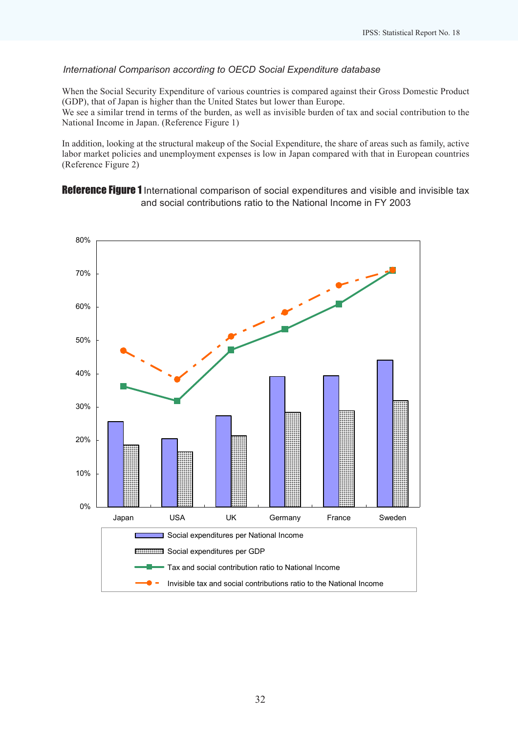## International Comparison according to OECD Social Expenditure database

When the Social Security Expenditure of various countries is compared against their Gross Domestic Product (GDP), that of Japan is higher than the United States but lower than Europe.

We see a similar trend in terms of the burden, as well as invisible burden of tax and social contribution to the National Income in Japan. (Reference Figure 1)

In addition, looking at the structural makeup of the Social Expenditure, the share of areas such as family, active labor market policies and unemployment expenses is low in Japan compared with that in European countries (Reference Figure 2)

Reference Figure 1 International comparison of social expenditures and visible and invisible tax and social contributions ratio to the National Income in FY 2003

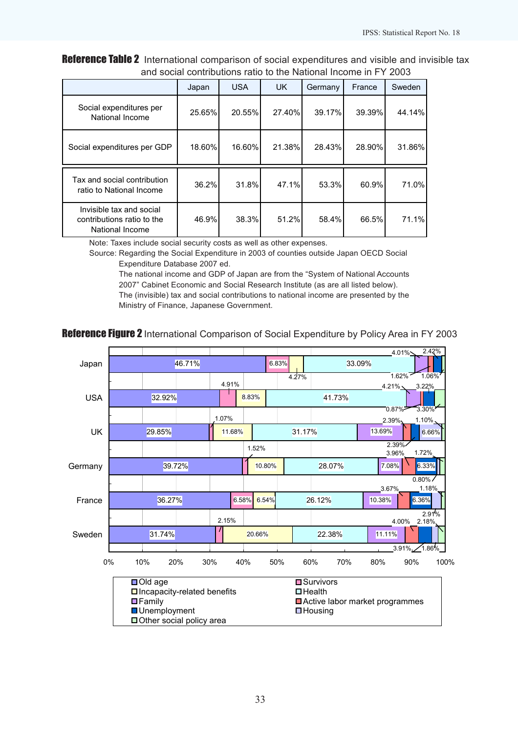Reference Table 2 International comparison of social expenditures and visible and invisible tax and social contributions ratio to the National Income in FY 2003

|                                                                           | Japan  | <b>USA</b> | <b>UK</b> | Germany | France | Sweden |
|---------------------------------------------------------------------------|--------|------------|-----------|---------|--------|--------|
| Social expenditures per<br>National Income                                | 25.65% | 20.55%     | 27.40%    | 39.17%  | 39.39% | 44.14% |
| Social expenditures per GDP                                               | 18.60% | 16.60%     | 21.38%    | 28.43%  | 28.90% | 31.86% |
| Tax and social contribution<br>ratio to National Income                   | 36.2%  | 31.8%      | 47.1%     | 53.3%   | 60.9%  | 71.0%  |
| Invisible tax and social<br>contributions ratio to the<br>National Income | 46.9%  | 38.3%      | 51.2%     | 58.4%   | 66.5%  | 71.1%  |

Note: Taxes include social security costs as well as other expenses.

Source: Regarding the Social Expenditure in 2003 of counties outside Japan OECD Social Expenditure Database 2007 ed.

The national income and GDP of Japan are from the "System of National Accounts 2007" Cabinet Economic and Social Research Institute (as are all listed below). The (invisible) tax and social contributions to national income are presented by the Ministry of Finance, Japanese Government.

## Reference Figure 2 International Comparison of Social Expenditure by Policy Area in FY 2003

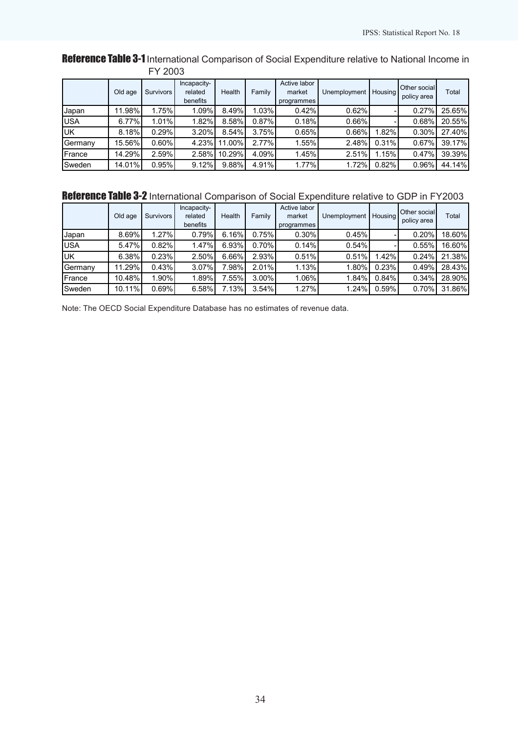## Reference Table 3-1 International Comparison of Social Expenditure relative to National Income in FY 2003

|             | Old age | <b>Survivors</b> | Incapacity-<br>related<br>benefits | Health | Family   | Active labor<br>market<br>programmes | Unemployment | Housing | Other social<br>policy area | Total  |
|-------------|---------|------------------|------------------------------------|--------|----------|--------------------------------------|--------------|---------|-----------------------------|--------|
| Japan       | 11.98%  | 1.75%            | 1.09%                              | 8.49%  | 1.03%    | 0.42%                                | 0.62%        |         | 0.27%                       | 25.65% |
| <b>IUSA</b> | 6.77%   | 1.01%            | 1.82%                              | 8.58%  | $0.87\%$ | 0.18%                                | 0.66%        |         | 0.68%                       | 20.55% |
| IUК         | 8.18%   | 0.29%            | 3.20%                              | 8.54%  | 3.75%    | 0.65%                                | 0.66%        | .82%    | 0.30%                       | 27.40% |
| Germany     | 15.56%  | $0.60\%$         | 4.23%                              | 11.00% | $2.77\%$ | 1.55%                                | 2.48%        | 0.31%   | 0.67%                       | 39.17% |
| France      | 14.29%  | 2.59%            | 2.58%                              | 10.29% | 4.09%    | 1.45%                                | 2.51%        | 1.15%   | 0.47%                       | 39.39% |
| Sweden      | 14.01%  | 0.95%            | 9.12%                              | 9.88%  | 4.91%    | 1.77%                                | i.72%        | 0.82%   | 0.96%                       | 44.14% |

# Reference Table 3-2 International Comparison of Social Expenditure relative to GDP in FY2003

|                           | Old age | Survivors | Incapacity-<br>related<br>benefits | Health   | Family   | Active labor<br>market<br>programmes | Unemployment | <b>Housing</b> | Other social<br>policy area | Total  |
|---------------------------|---------|-----------|------------------------------------|----------|----------|--------------------------------------|--------------|----------------|-----------------------------|--------|
| Japan                     | 8.69%   | 1.27%     | 0.79%                              | $6.16\%$ | 0.75%    | $0.30\%$                             | 0.45%        |                | 0.20%                       | 18.60% |
| <b>USA</b>                | 5.47%   | 0.82%     | 1.47%                              | $6.93\%$ | $0.70\%$ | 0.14%                                | 0.54%        |                | 0.55%                       | 16.60% |
| $\overline{\mathsf{U}}$ K | 6.38%   | 0.23%     | 2.50%                              | $6.66\%$ | 2.93%    | 0.51%                                | 0.51%        | 1.42%          | 0.24%                       | 21.38% |
| Germany                   | 11.29%  | 0.43%     | 3.07%                              | 7.98%    | 2.01%    | 1.13%                                | 1.80%        | 0.23%          | 0.49%                       | 28.43% |
| France                    | 10.48%  | 1.90%     | 1.89%                              | 7.55%    | $3.00\%$ | 1.06%                                | 1.84%        | 0.84%          | 0.34%                       | 28.90% |
| <b>Sweden</b>             | 10.11%  | 0.69%     | 6.58%                              | $7.13\%$ | 3.54%    | 1.27%                                | 1.24%        | 0.59%          | 0.70%                       | 31.86% |

Note: The OECD Social Expenditure Database has no estimates of revenue data.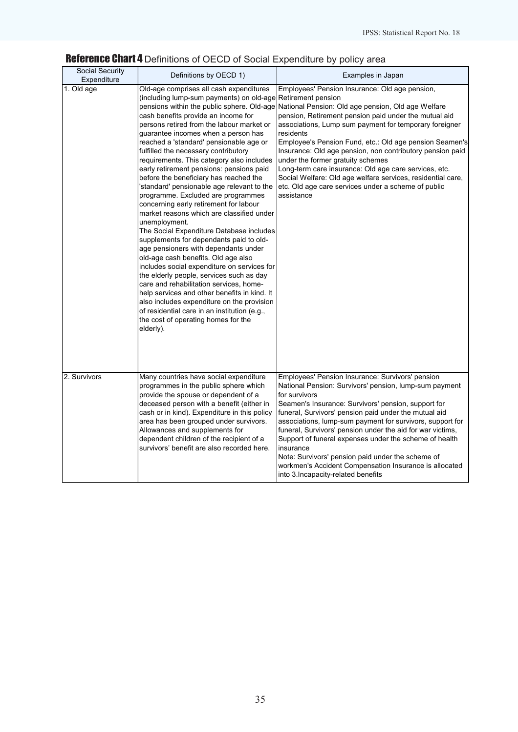# Reference Chart 4 Definitions of OECD of Social Expenditure by policy area

| Social Security<br>Expenditure | Definitions by OECD 1)                                                                                                                                                                                                                                                                                                                                                                                                                                                                                                                                                                                                                                                                                                                                                                                                                                                                                                                                                                                                                                                                                                                                            | Examples in Japan                                                                                                                                                                                                                                                                                                                                                                                                                                                                                                                                                                                                                         |
|--------------------------------|-------------------------------------------------------------------------------------------------------------------------------------------------------------------------------------------------------------------------------------------------------------------------------------------------------------------------------------------------------------------------------------------------------------------------------------------------------------------------------------------------------------------------------------------------------------------------------------------------------------------------------------------------------------------------------------------------------------------------------------------------------------------------------------------------------------------------------------------------------------------------------------------------------------------------------------------------------------------------------------------------------------------------------------------------------------------------------------------------------------------------------------------------------------------|-------------------------------------------------------------------------------------------------------------------------------------------------------------------------------------------------------------------------------------------------------------------------------------------------------------------------------------------------------------------------------------------------------------------------------------------------------------------------------------------------------------------------------------------------------------------------------------------------------------------------------------------|
| $\overline{1}$ . Old age       | Old-age comprises all cash expenditures<br>(including lump-sum payments) on old-age Retirement pension<br>cash benefits provide an income for<br>persons retired from the labour market or<br>guarantee incomes when a person has<br>reached a 'standard' pensionable age or<br>fulfilled the necessary contributory<br>requirements. This category also includes<br>early retirement pensions: pensions paid<br>before the beneficiary has reached the<br>'standard' pensionable age relevant to the<br>programme. Excluded are programmes<br>concerning early retirement for labour<br>market reasons which are classified under<br>unemployment.<br>The Social Expenditure Database includes<br>supplements for dependants paid to old-<br>age pensioners with dependants under<br>old-age cash benefits. Old age also<br>includes social expenditure on services for<br>the elderly people, services such as day<br>care and rehabilitation services, home-<br>help services and other benefits in kind. It<br>also includes expenditure on the provision<br>of residential care in an institution (e.g.,<br>the cost of operating homes for the<br>elderly). | Employees' Pension Insurance: Old age pension,<br>pensions within the public sphere. Old-age National Pension: Old age pension, Old age Welfare<br>pension, Retirement pension paid under the mutual aid<br>associations, Lump sum payment for temporary foreigner<br>residents<br>Employee's Pension Fund, etc.: Old age pension Seamen's<br>Insurance: Old age pension, non contributory pension paid<br>under the former gratuity schemes<br>Long-term care insurance: Old age care services, etc.<br>Social Welfare: Old age welfare services, residential care,<br>etc. Old age care services under a scheme of public<br>assistance |
| 2. Survivors                   | Many countries have social expenditure<br>programmes in the public sphere which<br>provide the spouse or dependent of a<br>deceased person with a benefit (either in<br>cash or in kind). Expenditure in this policy<br>area has been grouped under survivors.<br>Allowances and supplements for<br>dependent children of the recipient of a<br>survivors' benefit are also recorded here.                                                                                                                                                                                                                                                                                                                                                                                                                                                                                                                                                                                                                                                                                                                                                                        | Employees' Pension Insurance: Survivors' pension<br>National Pension: Survivors' pension, lump-sum payment<br>for survivors<br>Seamen's Insurance: Survivors' pension, support for<br>funeral, Survivors' pension paid under the mutual aid<br>associations, lump-sum payment for survivors, support for<br>funeral, Survivors' pension under the aid for war victims,<br>Support of funeral expenses under the scheme of health<br>insurance<br>Note: Survivors' pension paid under the scheme of<br>workmen's Accident Compensation Insurance is allocated<br>into 3. Incapacity-related benefits                                       |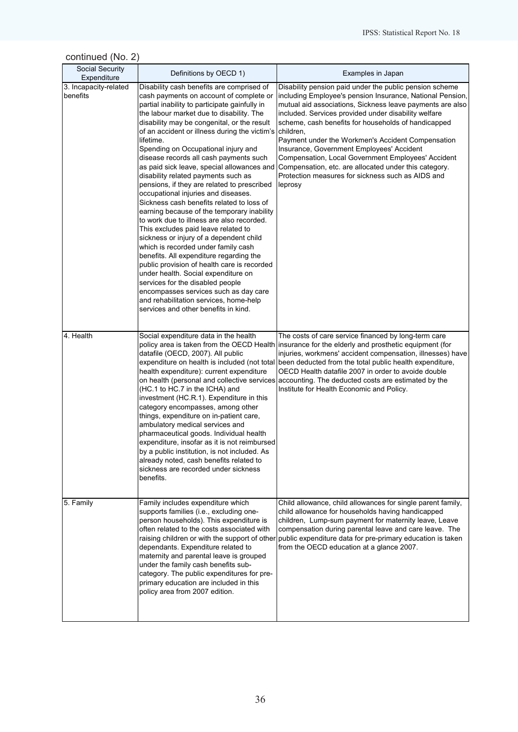| continued (No. 2) |  |
|-------------------|--|
|-------------------|--|

| Social Security<br>Expenditure    | Definitions by OECD 1)                                                                                                                                                                                                                                                                                                                                                                                                                                                                                                                                                                                                                                                                                                                                                                                                                                                                                                                                                                                                                                                                                                      | Examples in Japan                                                                                                                                                                                                                                                                                                                                                                                                                                                                                                                                                                              |
|-----------------------------------|-----------------------------------------------------------------------------------------------------------------------------------------------------------------------------------------------------------------------------------------------------------------------------------------------------------------------------------------------------------------------------------------------------------------------------------------------------------------------------------------------------------------------------------------------------------------------------------------------------------------------------------------------------------------------------------------------------------------------------------------------------------------------------------------------------------------------------------------------------------------------------------------------------------------------------------------------------------------------------------------------------------------------------------------------------------------------------------------------------------------------------|------------------------------------------------------------------------------------------------------------------------------------------------------------------------------------------------------------------------------------------------------------------------------------------------------------------------------------------------------------------------------------------------------------------------------------------------------------------------------------------------------------------------------------------------------------------------------------------------|
| 3. Incapacity-related<br>benefits | Disability cash benefits are comprised of<br>cash payments on account of complete or<br>partial inability to participate gainfully in<br>the labour market due to disability. The<br>disability may be congenital, or the result<br>of an accident or illness during the victim's<br>lifetime.<br>Spending on Occupational injury and<br>disease records all cash payments such<br>as paid sick leave, special allowances and<br>disability related payments such as<br>pensions, if they are related to prescribed<br>occupational injuries and diseases.<br>Sickness cash benefits related to loss of<br>earning because of the temporary inability<br>to work due to illness are also recorded.<br>This excludes paid leave related to<br>sickness or injury of a dependent child<br>which is recorded under family cash<br>benefits. All expenditure regarding the<br>public provision of health care is recorded<br>under health. Social expenditure on<br>services for the disabled people<br>encompasses services such as day care<br>and rehabilitation services, home-help<br>services and other benefits in kind. | Disability pension paid under the public pension scheme<br>including Employee's pension Insurance, National Pension,<br>mutual aid associations, Sickness leave payments are also<br>included. Services provided under disability welfare<br>scheme, cash benefits for households of handicapped<br>children,<br>Payment under the Workmen's Accident Compensation<br>Insurance, Government Employees' Accident<br>Compensation, Local Government Employees' Accident<br>Compensation, etc. are allocated under this category.<br>Protection measures for sickness such as AIDS and<br>leprosy |
| 4. Health                         | Social expenditure data in the health<br>datafile (OECD, 2007). All public<br>health expenditure): current expenditure<br>(HC.1 to HC.7 in the ICHA) and<br>investment (HC.R.1). Expenditure in this<br>category encompasses, among other<br>things, expenditure on in-patient care,<br>ambulatory medical services and<br>pharmaceutical goods. Individual health<br>expenditure, insofar as it is not reimbursed<br>by a public institution, is not included. As<br>already noted, cash benefits related to<br>sickness are recorded under sickness<br>benefits.                                                                                                                                                                                                                                                                                                                                                                                                                                                                                                                                                          | The costs of care service financed by long-term care<br>policy area is taken from the OECD Health linsurance for the elderly and prosthetic equipment (for<br>injuries, workmens' accident compensation, illnesses) have<br>expenditure on health is included (not total been deducted from the total public health expenditure,<br>OECD Health datafile 2007 in order to avoide double<br>on health (personal and collective services accounting. The deducted costs are estimated by the<br>Institute for Health Economic and Policy.                                                        |
| 5. Family                         | Family includes expenditure which<br>supports families (i.e., excluding one-<br>person households). This expenditure is<br>often related to the costs associated with<br>raising children or with the support of other<br>dependants. Expenditure related to<br>maternity and parental leave is grouped<br>under the family cash benefits sub-<br>category. The public expenditures for pre-<br>primary education are included in this<br>policy area from 2007 edition.                                                                                                                                                                                                                                                                                                                                                                                                                                                                                                                                                                                                                                                    | Child allowance, child allowances for single parent family,<br>child allowance for households having handicapped<br>children, Lump-sum payment for maternity leave, Leave<br>compensation during parental leave and care leave. The<br>public expenditure data for pre-primary education is taken<br>from the OECD education at a glance 2007.                                                                                                                                                                                                                                                 |